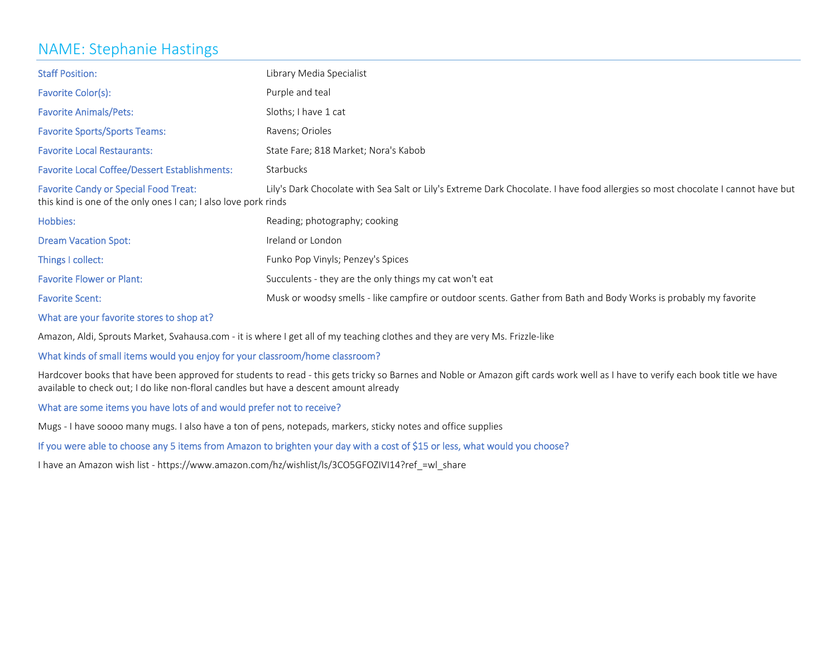## NAME: Stephanie Hastings

| <b>Staff Position:</b>                                                                                          | Library Media Specialist                                                                                                        |
|-----------------------------------------------------------------------------------------------------------------|---------------------------------------------------------------------------------------------------------------------------------|
| Favorite Color(s):                                                                                              | Purple and teal                                                                                                                 |
| <b>Favorite Animals/Pets:</b>                                                                                   | Sloths; I have 1 cat                                                                                                            |
| <b>Favorite Sports/Sports Teams:</b>                                                                            | Ravens; Orioles                                                                                                                 |
| <b>Favorite Local Restaurants:</b>                                                                              | State Fare; 818 Market; Nora's Kabob                                                                                            |
| <b>Favorite Local Coffee/Dessert Establishments:</b>                                                            | <b>Starbucks</b>                                                                                                                |
| <b>Favorite Candy or Special Food Treat:</b><br>this kind is one of the only ones I can; I also love pork rinds | Lily's Dark Chocolate with Sea Salt or Lily's Extreme Dark Chocolate. I have food allergies so most chocolate I cannot have but |
| Hobbies:                                                                                                        | Reading; photography; cooking                                                                                                   |
| <b>Dream Vacation Spot:</b>                                                                                     | Ireland or London                                                                                                               |
| Things I collect:                                                                                               | Funko Pop Vinyls; Penzey's Spices                                                                                               |
| <b>Favorite Flower or Plant:</b>                                                                                | Succulents - they are the only things my cat won't eat                                                                          |
| <b>Favorite Scent:</b>                                                                                          | Musk or woodsy smells - like campfire or outdoor scents. Gather from Bath and Body Works is probably my favorite                |

#### What are your favorite stores to shop at?

Amazon, Aldi, Sprouts Market, Svahausa.com ‐ it is where I get all of my teaching clothes and they are very Ms. Frizzle‐like

### What kinds of small items would you enjoy for your classroom/home classroom?

Hardcover books that have been approved for students to read ‐ this gets tricky so Barnes and Noble or Amazon gift cards work well as I have to verify each book title we have available to check out; I do like non‐floral candles but have <sup>a</sup> descent amount already

#### What are some items you have lots of and would prefer not to receive?

Mugs ‐ I have soooo many mugs. I also have <sup>a</sup> ton of pens, notepads, markers, sticky notes and office supplies

### If you were able to choose any <sup>5</sup> items from Amazon to brighten your day with <sup>a</sup> cost of \$15 or less, what would you choose?

have an Amazon wish list ‐ https://www.amazon.com/hz/wishlist/ls/3CO5GFOZIVI14?ref\_=wl\_share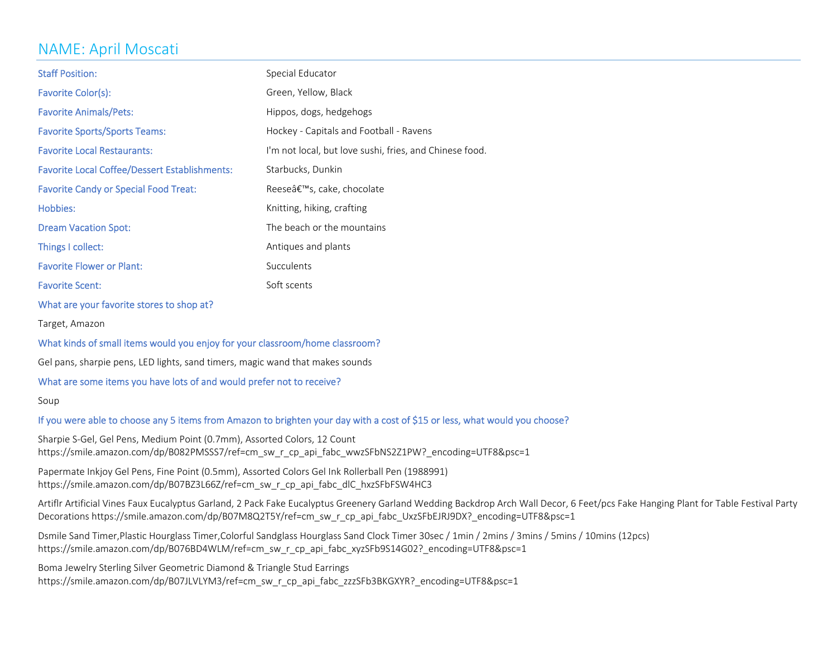# NAME: April Moscati

| <b>Staff Position:</b>                               | Special Educator                                        |
|------------------------------------------------------|---------------------------------------------------------|
| Favorite Color(s):                                   | Green, Yellow, Black                                    |
| <b>Favorite Animals/Pets:</b>                        | Hippos, dogs, hedgehogs                                 |
| <b>Favorite Sports/Sports Teams:</b>                 | Hockey - Capitals and Football - Ravens                 |
| <b>Favorite Local Restaurants:</b>                   | I'm not local, but love sushi, fries, and Chinese food. |
| <b>Favorite Local Coffee/Dessert Establishments:</b> | Starbucks, Dunkin                                       |
| <b>Favorite Candy or Special Food Treat:</b>         | Reese's, cake, chocolate                                |
| Hobbies:                                             | Knitting, hiking, crafting                              |
| <b>Dream Vacation Spot:</b>                          | The beach or the mountains                              |
| Things I collect:                                    | Antiques and plants                                     |
| <b>Favorite Flower or Plant:</b>                     | Succulents                                              |
| <b>Favorite Scent:</b>                               | Soft scents                                             |

What are your favorite stores to shop at?

Target, Amazon

#### What kinds of small items would you enjoy for your classroom/home classroom?

Gel pans, sharpie pens, LED lights, sand timers, magic wand that makes sounds

#### What are some items you have lots of and would prefer not to receive?

Soup

#### If you were able to choose any <sup>5</sup> items from Amazon to brighten your day with <sup>a</sup> cost of \$15 or less, what would you choose?

Sharpie S‐Gel, Gel Pens, Medium Point (0.7mm), Assorted Colors, 12 Count https://smile.amazon.com/dp/B082PMSSS7/ref=cm\_sw\_r\_cp\_api\_fabc\_wwzSFbNS2Z1PW?\_encoding=UTF8&psc=1

Papermate Inkjoy Gel Pens, Fine Point (0.5mm), Assorted Colors Gel Ink Rollerball Pen (1988991) https://smile.amazon.com/dp/B07BZ3L66Z/ref=cm\_sw\_r\_cp\_api\_fabc\_dlC\_hxzSFbFSW4HC3

Artiflr Artificial Vines Faux Eucalyptus Garland, 2 Pack Fake Eucalyptus Greenery Garland Wedding Backdrop Arch Wall Decor, 6 Feet/pcs Fake Hanging Plant for Table Festival Party Decorations https://smile.amazon.com/dp/B07M8Q2T5Y/ref=cm\_sw\_r\_cp\_api\_fabc\_UxzSFbEJRJ9DX?\_encoding=UTF8&psc=1

Dsmile Sand Timer,Plastic Hourglass Timer,Colorful Sandglass Hourglass Sand Clock Timer 30sec / 1min / 2mins / 3mins / 5mins / 10mins (12pcs) https://smile.amazon.com/dp/B076BD4WLM/ref=cm\_sw\_r\_cp\_api\_fabc\_xyzSFb9S14G02?\_encoding=UTF8&psc=1

Boma Jewelry Sterling Silver Geometric Diamond & Triangle Stud Earrings https://smile.amazon.com/dp/B07JLVLYM3/ref=cm\_sw\_r\_cp\_api\_fabc\_zzzSFb3BKGXYR?\_encoding=UTF8&psc=1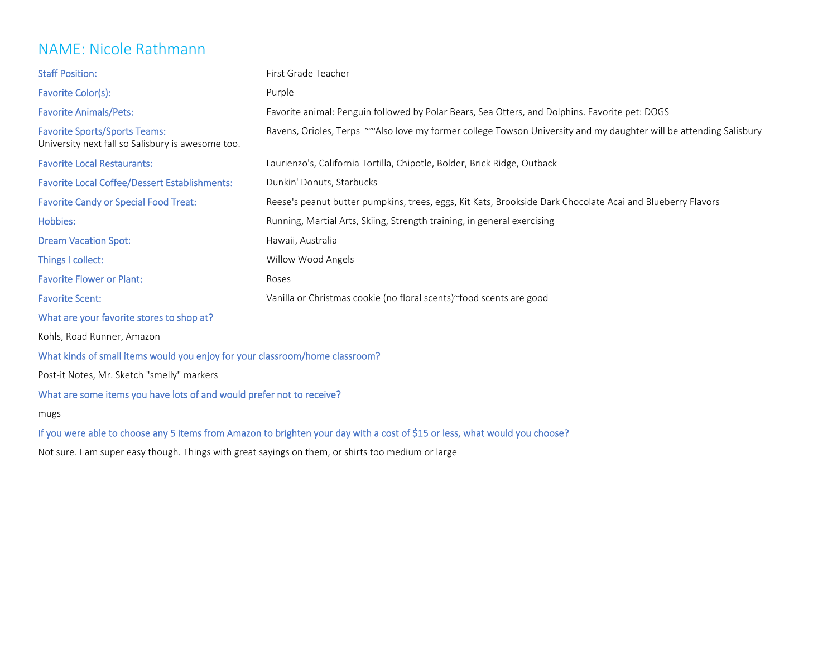### NAME: Nicole Rathmann

| <b>Staff Position:</b>                                                                                                      | First Grade Teacher                                                                                                |  |
|-----------------------------------------------------------------------------------------------------------------------------|--------------------------------------------------------------------------------------------------------------------|--|
| Favorite Color(s):                                                                                                          | Purple                                                                                                             |  |
| <b>Favorite Animals/Pets:</b>                                                                                               | Favorite animal: Penguin followed by Polar Bears, Sea Otters, and Dolphins. Favorite pet: DOGS                     |  |
| <b>Favorite Sports/Sports Teams:</b><br>University next fall so Salisbury is awesome too.                                   | Ravens, Orioles, Terps ~~Also love my former college Towson University and my daughter will be attending Salisbury |  |
| <b>Favorite Local Restaurants:</b>                                                                                          | Laurienzo's, California Tortilla, Chipotle, Bolder, Brick Ridge, Outback                                           |  |
| <b>Favorite Local Coffee/Dessert Establishments:</b>                                                                        | Dunkin' Donuts, Starbucks                                                                                          |  |
| <b>Favorite Candy or Special Food Treat:</b>                                                                                | Reese's peanut butter pumpkins, trees, eggs, Kit Kats, Brookside Dark Chocolate Acai and Blueberry Flavors         |  |
| Hobbies:                                                                                                                    | Running, Martial Arts, Skiing, Strength training, in general exercising                                            |  |
| <b>Dream Vacation Spot:</b>                                                                                                 | Hawaii, Australia                                                                                                  |  |
| Things I collect:                                                                                                           | Willow Wood Angels                                                                                                 |  |
| <b>Favorite Flower or Plant:</b>                                                                                            | Roses                                                                                                              |  |
| <b>Favorite Scent:</b>                                                                                                      | Vanilla or Christmas cookie (no floral scents)~food scents are good                                                |  |
| What are your favorite stores to shop at?                                                                                   |                                                                                                                    |  |
| Kohls, Road Runner, Amazon                                                                                                  |                                                                                                                    |  |
| What kinds of small items would you enjoy for your classroom/home classroom?                                                |                                                                                                                    |  |
| Post-it Notes, Mr. Sketch "smelly" markers                                                                                  |                                                                                                                    |  |
| What are some items you have lots of and would prefer not to receive?                                                       |                                                                                                                    |  |
| mugs                                                                                                                        |                                                                                                                    |  |
| If you were able to choose any 5 items from Amazon to brighten your day with a cost of \$15 or less, what would you choose? |                                                                                                                    |  |

Not sure. I am super easy though. Things with great sayings on them, or shirts too medium or large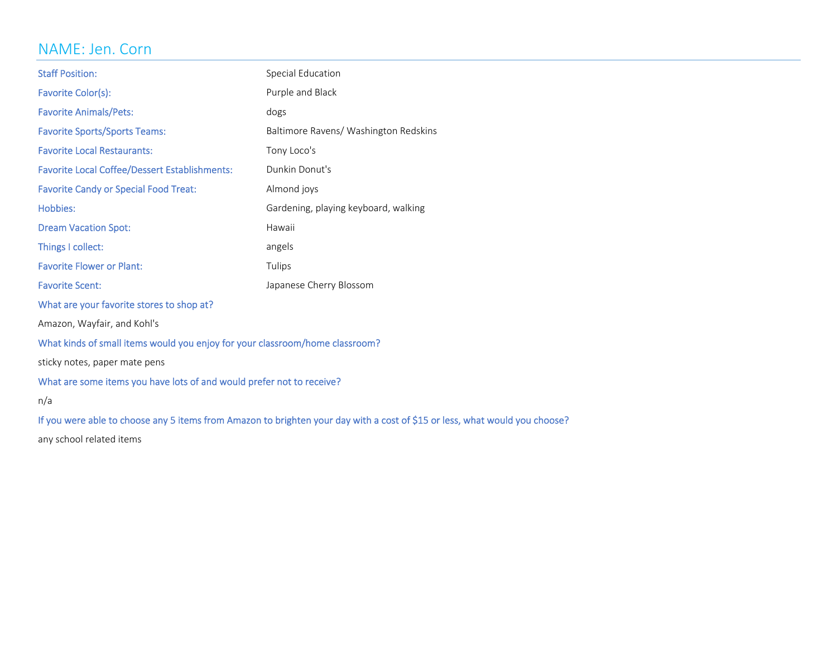# NAME: Jen. Corn

| <b>Staff Position:</b>                                                       | Special Education                     |
|------------------------------------------------------------------------------|---------------------------------------|
| Favorite Color(s):                                                           | Purple and Black                      |
| <b>Favorite Animals/Pets:</b>                                                | dogs                                  |
| <b>Favorite Sports/Sports Teams:</b>                                         | Baltimore Ravens/ Washington Redskins |
| <b>Favorite Local Restaurants:</b>                                           | Tony Loco's                           |
| <b>Favorite Local Coffee/Dessert Establishments:</b>                         | Dunkin Donut's                        |
| <b>Favorite Candy or Special Food Treat:</b>                                 | Almond joys                           |
| Hobbies:                                                                     | Gardening, playing keyboard, walking  |
| <b>Dream Vacation Spot:</b>                                                  | Hawaii                                |
| Things I collect:                                                            | angels                                |
| <b>Favorite Flower or Plant:</b>                                             | Tulips                                |
| <b>Favorite Scent:</b>                                                       | Japanese Cherry Blossom               |
| What are your favorite stores to shop at?                                    |                                       |
| Amazon, Wayfair, and Kohl's                                                  |                                       |
| What kinds of small items would you enjoy for your classroom/home classroom? |                                       |
| sticky notes, paper mate pens                                                |                                       |
| What are some items you have lots of and would prefer not to receive?        |                                       |
| n/a                                                                          |                                       |

If you were able to choose any <sup>5</sup> items from Amazon to brighten your day with <sup>a</sup> cost of \$15 or less, what would you choose?

any school related items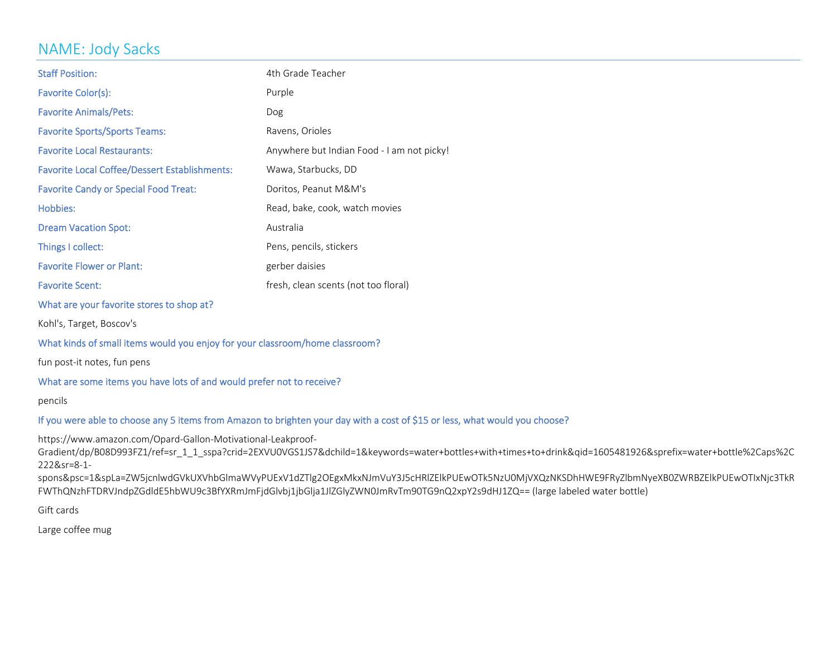# NAME: Jody Sacks

| <b>Staff Position:</b>                               | 4th Grade Teacher                          |
|------------------------------------------------------|--------------------------------------------|
| Favorite Color(s):                                   | Purple                                     |
| <b>Favorite Animals/Pets:</b>                        | Dog                                        |
| <b>Favorite Sports/Sports Teams:</b>                 | Ravens, Orioles                            |
| <b>Favorite Local Restaurants:</b>                   | Anywhere but Indian Food - I am not picky! |
| <b>Favorite Local Coffee/Dessert Establishments:</b> | Wawa, Starbucks, DD                        |
| <b>Favorite Candy or Special Food Treat:</b>         | Doritos, Peanut M&M's                      |
| Hobbies:                                             | Read, bake, cook, watch movies             |
| <b>Dream Vacation Spot:</b>                          | Australia                                  |
| Things I collect:                                    | Pens, pencils, stickers                    |
| <b>Favorite Flower or Plant:</b>                     | gerber daisies                             |
| <b>Favorite Scent:</b>                               | fresh, clean scents (not too floral)       |
|                                                      |                                            |

What are your favorite stores to shop at?

Kohl's, Target, Boscov's

### What kinds of small items would you enjoy for your classroom/home classroom?

fun post‐it notes, fun pens

### What are some items you have lots of and would prefer not to receive?

pencils

#### If you were able to choose any <sup>5</sup> items from Amazon to brighten your day with <sup>a</sup> cost of \$15 or less, what would you choose?

https://www.amazon.com/Opard‐Gallon‐Motivational‐Leakproof‐

Gradient/dp/B08D993FZ1/ref=sr\_1\_1\_sspa?crid=2EXVU0VGS1JS7&dchild=1&keywords=water+bottles+with+times+to+drink&qid=1605481926&sprefix=water+bottle%2Caps%2C 222&sr=8‐1‐

spons&psc=1&spLa=ZW5jcnlwdGVkUXVhbGlmaWVyPUExV1dZTlg2OEgxMkxNJmVuY3J5cHRlZElkPUEwOTk5NzU0MjVXQzNKSDhHWE9FRyZlbmNyeXB0ZWRBZElkPUEwOTIxNjc3TkR FWThQNzhFTDRVJndpZGdldE5hbWU9c3BfYXRmJmFjdGlvbj1jbGlja1JlZGlyZWN0JmRvTm90TG9nQ2xpY2s9dHJ1ZQ== (large labeled water bottle)

Gift cards

Large coffee mug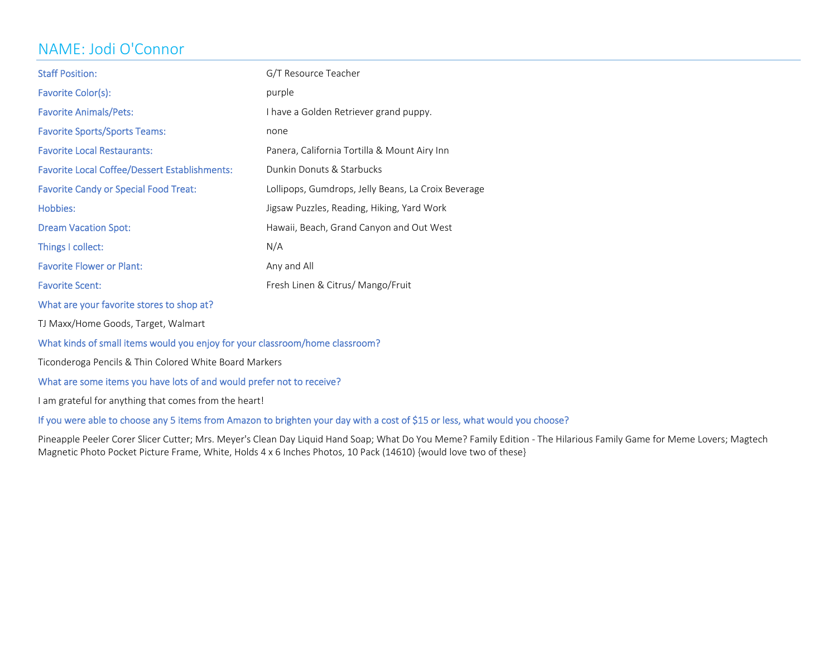# NAME: Jodi O'Connor

| <b>Staff Position:</b>                               | G/T Resource Teacher                                |
|------------------------------------------------------|-----------------------------------------------------|
| Favorite Color(s):                                   | purple                                              |
| <b>Favorite Animals/Pets:</b>                        | I have a Golden Retriever grand puppy.              |
| <b>Favorite Sports/Sports Teams:</b>                 | none                                                |
| <b>Favorite Local Restaurants:</b>                   | Panera, California Tortilla & Mount Airy Inn        |
| <b>Favorite Local Coffee/Dessert Establishments:</b> | Dunkin Donuts & Starbucks                           |
| <b>Favorite Candy or Special Food Treat:</b>         | Lollipops, Gumdrops, Jelly Beans, La Croix Beverage |
| Hobbies:                                             | Jigsaw Puzzles, Reading, Hiking, Yard Work          |
| <b>Dream Vacation Spot:</b>                          | Hawaii, Beach, Grand Canyon and Out West            |
| Things I collect:                                    | N/A                                                 |
| <b>Favorite Flower or Plant:</b>                     | Any and All                                         |
| <b>Favorite Scent:</b>                               | Fresh Linen & Citrus/ Mango/Fruit                   |
| What are your favorite stores to shop at?            |                                                     |

TJ Maxx/Home Goods, Target, Walmart

### What kinds of small items would you enjoy for your classroom/home classroom?

Ticonderoga Pencils & Thin Colored White Board Markers

### What are some items you have lots of and would prefer not to receive?

I am grateful for anything that comes from the heart!

#### If you were able to choose any <sup>5</sup> items from Amazon to brighten your day with <sup>a</sup> cost of \$15 or less, what would you choose?

Pineapple Peeler Corer Slicer Cutter; Mrs. Meyer's Clean Day Liquid Hand Soap; What Do You Meme? Family Edition - The Hilarious Family Game for Meme Lovers; Magtech Magnetic Photo Pocket Picture Frame, White, Holds 4 <sup>x</sup> 6 Inches Photos, 10 Pack (14610) {would love two of these}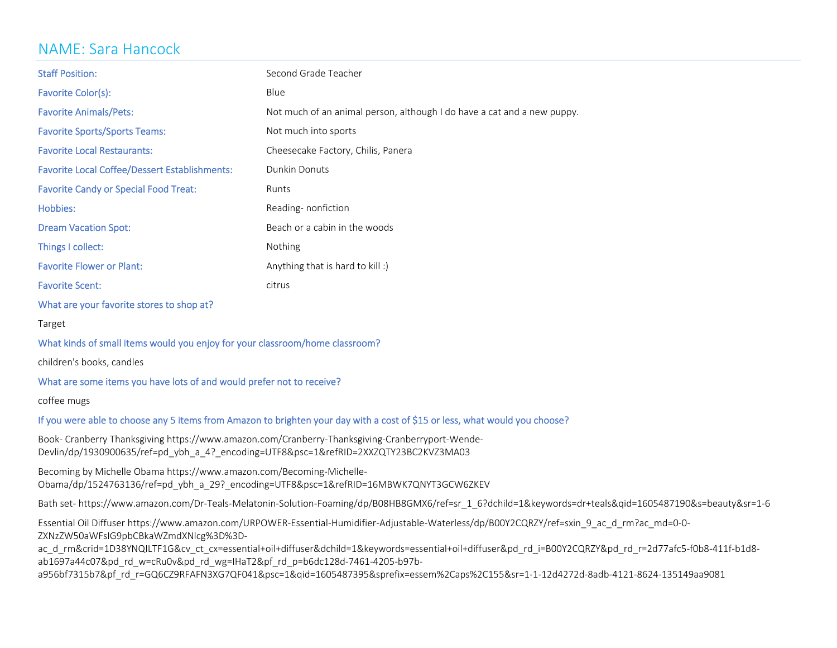# NAME: Sara Hancock

| <b>Staff Position:</b>                               | Second Grade Teacher                                                    |
|------------------------------------------------------|-------------------------------------------------------------------------|
| Favorite Color(s):                                   | Blue                                                                    |
| <b>Favorite Animals/Pets:</b>                        | Not much of an animal person, although I do have a cat and a new puppy. |
| <b>Favorite Sports/Sports Teams:</b>                 | Not much into sports                                                    |
| <b>Favorite Local Restaurants:</b>                   | Cheesecake Factory, Chilis, Panera                                      |
| <b>Favorite Local Coffee/Dessert Establishments:</b> | Dunkin Donuts                                                           |
| <b>Favorite Candy or Special Food Treat:</b>         | Runts                                                                   |
| Hobbies:                                             | Reading-nonfiction                                                      |
| <b>Dream Vacation Spot:</b>                          | Beach or a cabin in the woods                                           |
| Things I collect:                                    | <b>Nothing</b>                                                          |
| <b>Favorite Flower or Plant:</b>                     | Anything that is hard to kill :)                                        |
| <b>Favorite Scent:</b>                               | citrus                                                                  |

What are your favorite stores to shop at?

Target

#### What kinds of small items would you enjoy for your classroom/home classroom?

children's books, candles

#### What are some items you have lots of and would prefer not to receive?

coffee mugs

### If you were able to choose any <sup>5</sup> items from Amazon to brighten your day with <sup>a</sup> cost of \$15 or less, what would you choose?

Book‐ Cranberry Thanksgiving https://www.amazon.com/Cranberry‐Thanksgiving‐Cranberryport‐Wende‐ Devlin/dp/1930900635/ref=pd\_ybh\_a\_4?\_encoding=UTF8&psc=1&refRID=2XXZQTY23BC2KVZ3MA03

Becoming by Michelle Obama https://www.amazon.com/Becoming‐Michelle‐ Obama/dp/1524763136/ref=pd\_ybh\_a\_29?\_encoding=UTF8&psc=1&refRID=16MBWK7QNYT3GCW6ZKEV

Bath set‐ https://www.amazon.com/Dr‐Teals‐Melatonin‐Solution‐Foaming/dp/B08HB8GMX6/ref=sr\_1\_6?dchild=1&keywords=dr+teals&qid=1605487190&s=beauty&sr=1‐6

Essential Oil Diffuser https://www.amazon.com/URPOWER‐Essential‐Humidifier‐Adjustable‐Waterless/dp/B00Y2CQRZY/ref=sxin\_9\_ac\_d\_rm?ac\_md=0‐0‐ ZXNzZW50aWFsIG9pbCBkaWZmdXNlcg%3D%3D‐

ac\_d\_rm&crid=1D38YNQILTF1G&cv\_ct\_cx=essential+oil+diffuser&dchild=1&keywords=essential+oil+diffuser&pd\_rd\_i=B00Y2CQRZY&pd\_rd\_r=2d77afc5-f0b8-411f-b1d8ab1697a44c07&pd\_rd\_w=cRu0v&pd\_rd\_wg=IHaT2&pf\_rd\_p=b6dc128d‐7461‐4205‐b97b‐

a956bf7315b7&pf\_rd\_r=GQ6CZ9RFAFN3XG7QF041&psc=1&qid=1605487395&sprefix=essem%2Caps%2C155&sr=1‐1‐12d4272d‐8adb‐4121‐8624‐135149aa9081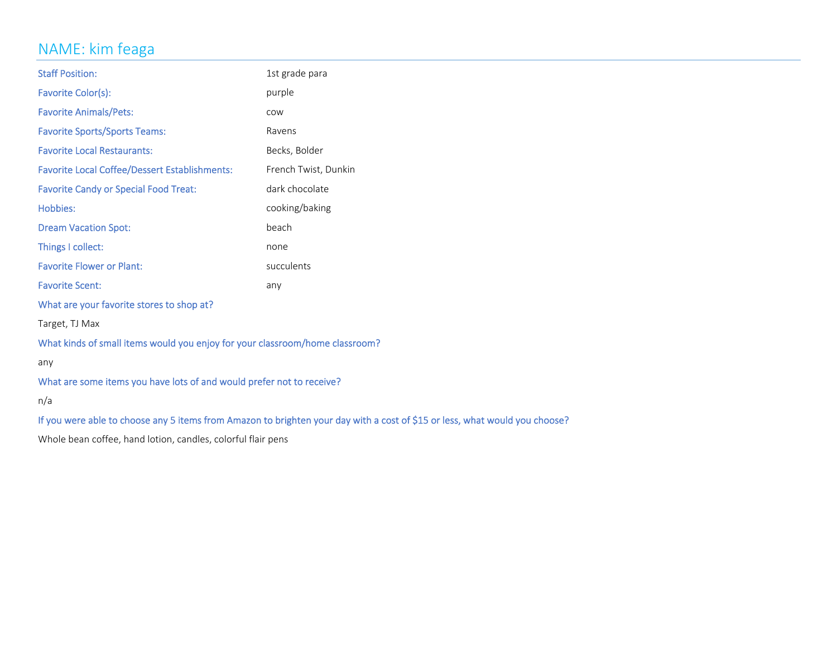# NAME: kim feaga

| <b>Staff Position:</b>                                                                                                      | 1st grade para       |  |
|-----------------------------------------------------------------------------------------------------------------------------|----------------------|--|
| Favorite Color(s):                                                                                                          | purple               |  |
| <b>Favorite Animals/Pets:</b>                                                                                               | COW                  |  |
| <b>Favorite Sports/Sports Teams:</b>                                                                                        | Ravens               |  |
| <b>Favorite Local Restaurants:</b>                                                                                          | Becks, Bolder        |  |
| <b>Favorite Local Coffee/Dessert Establishments:</b>                                                                        | French Twist, Dunkin |  |
| <b>Favorite Candy or Special Food Treat:</b>                                                                                | dark chocolate       |  |
| Hobbies:                                                                                                                    | cooking/baking       |  |
| <b>Dream Vacation Spot:</b>                                                                                                 | beach                |  |
| Things I collect:                                                                                                           | none                 |  |
| <b>Favorite Flower or Plant:</b>                                                                                            | succulents           |  |
| <b>Favorite Scent:</b>                                                                                                      | any                  |  |
| What are your favorite stores to shop at?                                                                                   |                      |  |
| Target, TJ Max                                                                                                              |                      |  |
| What kinds of small items would you enjoy for your classroom/home classroom?                                                |                      |  |
| any                                                                                                                         |                      |  |
| What are some items you have lots of and would prefer not to receive?                                                       |                      |  |
| n/a                                                                                                                         |                      |  |
| If you were able to choose any 5 items from Amazon to brighten your day with a cost of \$15 or less, what would you choose? |                      |  |
| Whole bean coffee, hand lotion, candles, colorful flair pens                                                                |                      |  |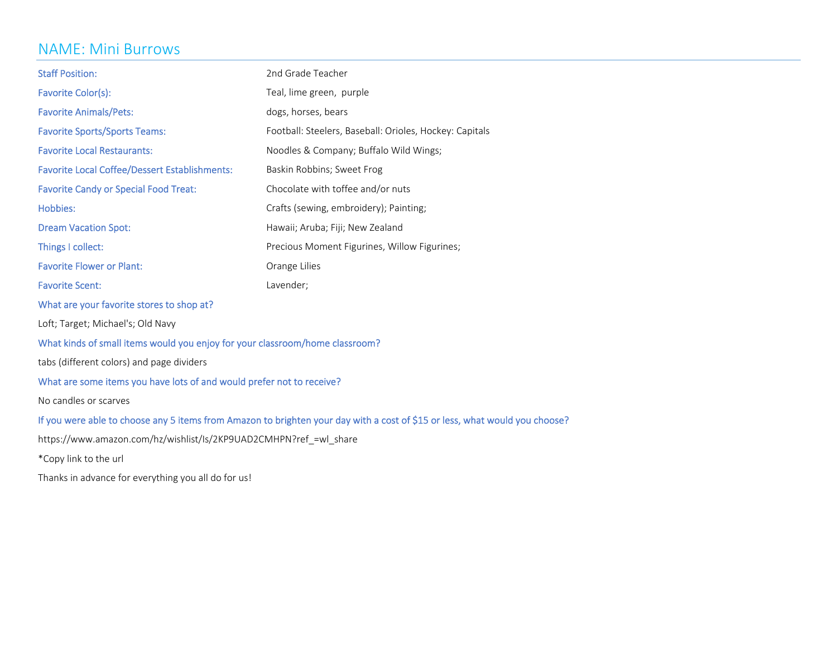### NAME: Mini Burrows

| <b>Staff Position:</b>                                                                                                      | 2nd Grade Teacher                                       |  |
|-----------------------------------------------------------------------------------------------------------------------------|---------------------------------------------------------|--|
| Favorite Color(s):                                                                                                          | Teal, lime green, purple                                |  |
| <b>Favorite Animals/Pets:</b>                                                                                               | dogs, horses, bears                                     |  |
| <b>Favorite Sports/Sports Teams:</b>                                                                                        | Football: Steelers, Baseball: Orioles, Hockey: Capitals |  |
| <b>Favorite Local Restaurants:</b>                                                                                          | Noodles & Company; Buffalo Wild Wings;                  |  |
| <b>Favorite Local Coffee/Dessert Establishments:</b>                                                                        | Baskin Robbins; Sweet Frog                              |  |
| <b>Favorite Candy or Special Food Treat:</b>                                                                                | Chocolate with toffee and/or nuts                       |  |
| <b>Hobbies:</b>                                                                                                             | Crafts (sewing, embroidery); Painting;                  |  |
| <b>Dream Vacation Spot:</b>                                                                                                 | Hawaii; Aruba; Fiji; New Zealand                        |  |
| Things I collect:                                                                                                           | Precious Moment Figurines, Willow Figurines;            |  |
| <b>Favorite Flower or Plant:</b>                                                                                            | Orange Lilies                                           |  |
| <b>Favorite Scent:</b>                                                                                                      | Lavender;                                               |  |
| What are your favorite stores to shop at?                                                                                   |                                                         |  |
| Loft; Target; Michael's; Old Navy                                                                                           |                                                         |  |
| What kinds of small items would you enjoy for your classroom/home classroom?                                                |                                                         |  |
| tabs (different colors) and page dividers                                                                                   |                                                         |  |
| What are some items you have lots of and would prefer not to receive?                                                       |                                                         |  |
| No candles or scarves                                                                                                       |                                                         |  |
| If you were able to choose any 5 items from Amazon to brighten your day with a cost of \$15 or less, what would you choose? |                                                         |  |
| https://www.amazon.com/hz/wishlist/Is/2KP9UAD2CMHPN?ref =wl share                                                           |                                                         |  |
| *Copy link to the url                                                                                                       |                                                         |  |

Thanks in advance for everything you all do for us!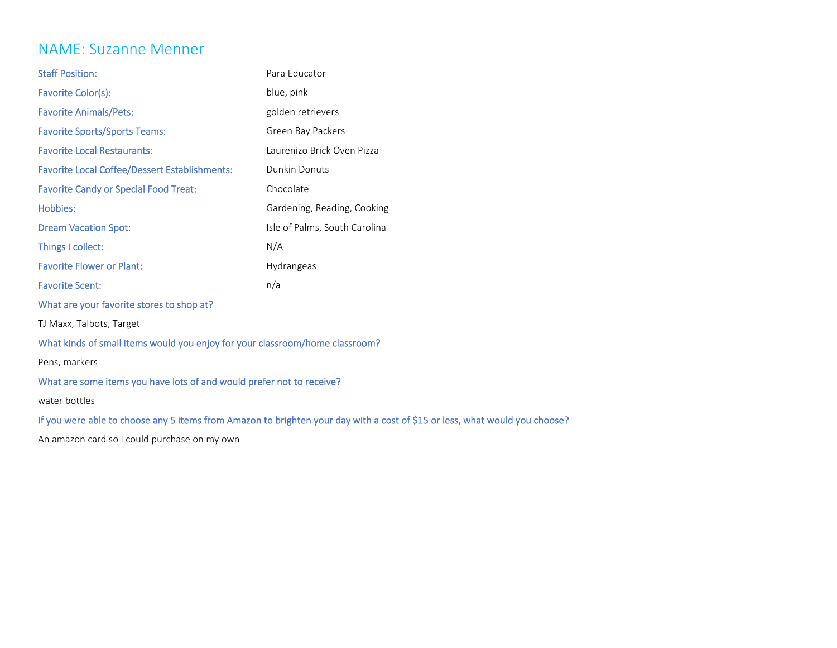### NAME: Suzanne Menner

| <b>Staff Position:</b>                               | Para Educator                 |
|------------------------------------------------------|-------------------------------|
| Favorite Color(s):                                   | blue, pink                    |
| <b>Favorite Animals/Pets:</b>                        | golden retrievers             |
| <b>Favorite Sports/Sports Teams:</b>                 | Green Bay Packers             |
| <b>Favorite Local Restaurants:</b>                   | Laurenizo Brick Oven Pizza    |
| <b>Favorite Local Coffee/Dessert Establishments:</b> | Dunkin Donuts                 |
| <b>Favorite Candy or Special Food Treat:</b>         | Chocolate                     |
| Hobbies:                                             | Gardening, Reading, Cooking   |
| <b>Dream Vacation Spot:</b>                          | Isle of Palms, South Carolina |
| Things I collect:                                    | N/A                           |
| <b>Favorite Flower or Plant:</b>                     | <b>Hydrangeas</b>             |
| <b>Favorite Scent:</b>                               | n/a                           |

What are your favorite stores to shop at?

TJ Maxx, Talbots, Target

What kinds of small items would you enjoy for your classroom/home classroom?

Pens, markers

What are some items you have lots of and would prefer not to receive?

water bottles

If you were able to choose any <sup>5</sup> items from Amazon to brighten your day with <sup>a</sup> cost of \$15 or less, what would you choose?

An amazon card so I could purchase on my own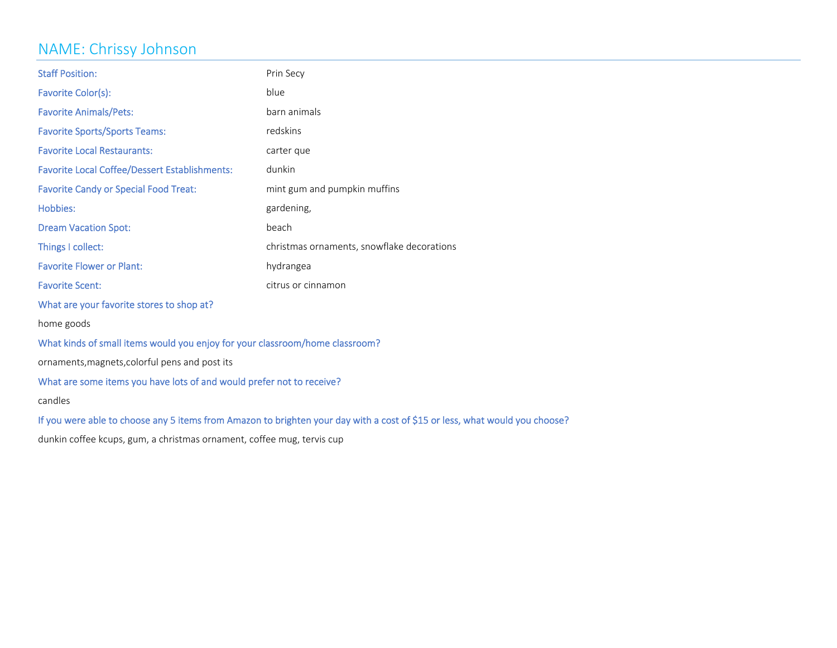### NAME: Chrissy Johnson

| <b>Staff Position:</b>                                                                                                      | Prin Secy                                  |  |
|-----------------------------------------------------------------------------------------------------------------------------|--------------------------------------------|--|
| Favorite Color(s):                                                                                                          | blue                                       |  |
| <b>Favorite Animals/Pets:</b>                                                                                               | barn animals                               |  |
| <b>Favorite Sports/Sports Teams:</b>                                                                                        | redskins                                   |  |
| <b>Favorite Local Restaurants:</b>                                                                                          | carter que                                 |  |
| <b>Favorite Local Coffee/Dessert Establishments:</b>                                                                        | dunkin                                     |  |
| <b>Favorite Candy or Special Food Treat:</b><br>mint gum and pumpkin muffins                                                |                                            |  |
| Hobbies:                                                                                                                    | gardening,                                 |  |
| <b>Dream Vacation Spot:</b>                                                                                                 | beach                                      |  |
| Things I collect:                                                                                                           | christmas ornaments, snowflake decorations |  |
| <b>Favorite Flower or Plant:</b>                                                                                            | hydrangea                                  |  |
| <b>Favorite Scent:</b>                                                                                                      | citrus or cinnamon                         |  |
| What are your favorite stores to shop at?                                                                                   |                                            |  |
| home goods                                                                                                                  |                                            |  |
| What kinds of small items would you enjoy for your classroom/home classroom?                                                |                                            |  |
| ornaments, magnets, colorful pens and post its                                                                              |                                            |  |
| What are some items you have lots of and would prefer not to receive?                                                       |                                            |  |
| candles                                                                                                                     |                                            |  |
| If you were able to choose any 5 items from Amazon to brighten your day with a cost of \$15 or less, what would you choose? |                                            |  |
| dunkin coffee kcups, gum, a christmas ornament, coffee mug, tervis cup                                                      |                                            |  |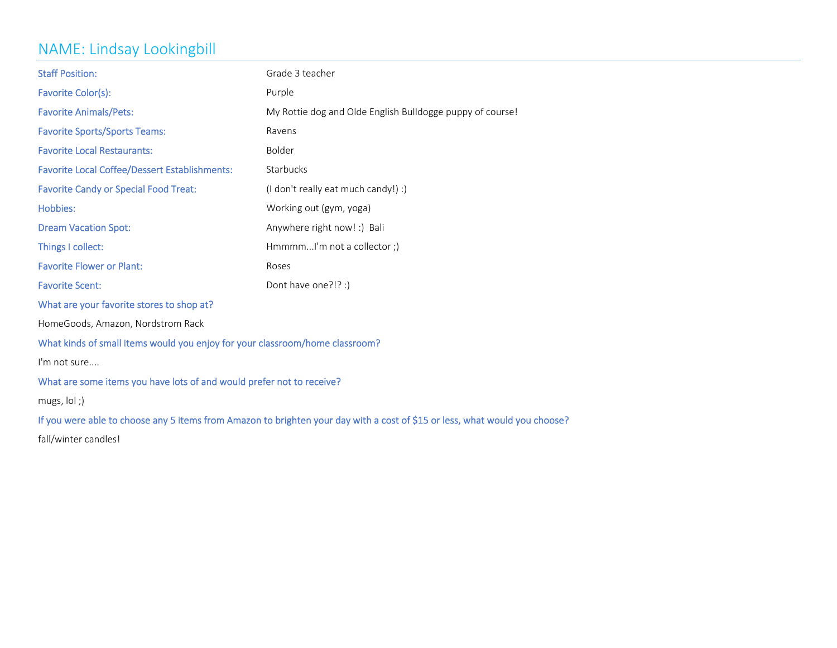# NAME: Lindsay Lookingbill

| <b>Staff Position:</b>                                                       | Grade 3 teacher                                                                                                             |  |
|------------------------------------------------------------------------------|-----------------------------------------------------------------------------------------------------------------------------|--|
| Favorite Color(s):                                                           | Purple                                                                                                                      |  |
| <b>Favorite Animals/Pets:</b>                                                | My Rottie dog and Olde English Bulldogge puppy of course!                                                                   |  |
| <b>Favorite Sports/Sports Teams:</b>                                         | Ravens                                                                                                                      |  |
| <b>Favorite Local Restaurants:</b>                                           | Bolder                                                                                                                      |  |
| <b>Favorite Local Coffee/Dessert Establishments:</b>                         | Starbucks                                                                                                                   |  |
| <b>Favorite Candy or Special Food Treat:</b>                                 | (I don't really eat much candy!) :)                                                                                         |  |
| Hobbies:                                                                     | Working out (gym, yoga)                                                                                                     |  |
| <b>Dream Vacation Spot:</b>                                                  | Anywhere right now! :) Bali                                                                                                 |  |
| Things I collect:                                                            | HmmmmI'm not a collector;)                                                                                                  |  |
| <b>Favorite Flower or Plant:</b>                                             | Roses                                                                                                                       |  |
| <b>Favorite Scent:</b>                                                       | Dont have one?!? :)                                                                                                         |  |
| What are your favorite stores to shop at?                                    |                                                                                                                             |  |
| HomeGoods, Amazon, Nordstrom Rack                                            |                                                                                                                             |  |
| What kinds of small items would you enjoy for your classroom/home classroom? |                                                                                                                             |  |
| I'm not sure                                                                 |                                                                                                                             |  |
| What are some items you have lots of and would prefer not to receive?        |                                                                                                                             |  |
| mugs, $\vert$ ol;)                                                           |                                                                                                                             |  |
|                                                                              | If you were able to choose any 5 items from Amazon to brighten your day with a cost of \$15 or less, what would you choose? |  |
| fall/winter candles!                                                         |                                                                                                                             |  |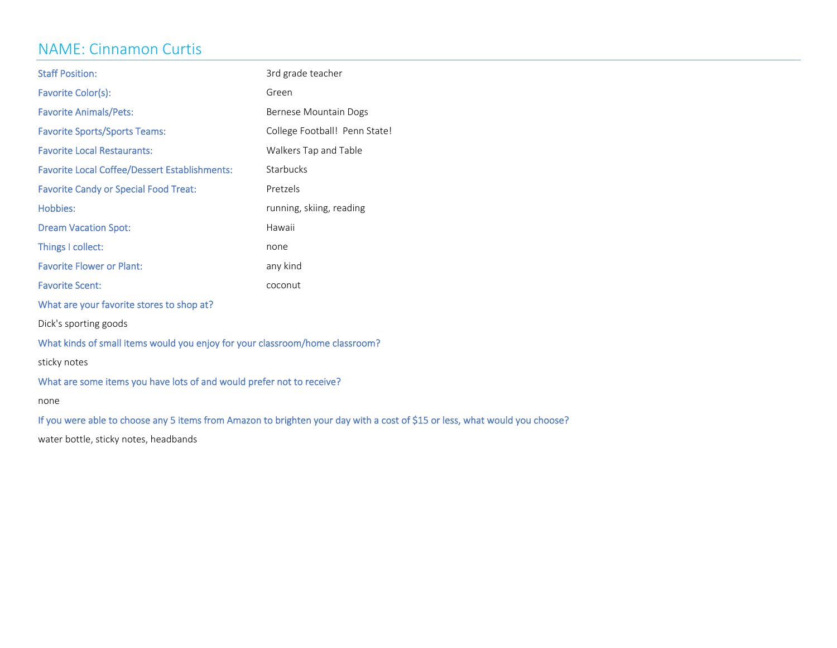### NAME: Cinnamon Curtis

| <b>Staff Position:</b>                                                       | 3rd grade teacher             |
|------------------------------------------------------------------------------|-------------------------------|
| Favorite Color(s):                                                           | Green                         |
| <b>Favorite Animals/Pets:</b>                                                | Bernese Mountain Dogs         |
| <b>Favorite Sports/Sports Teams:</b>                                         | College Football! Penn State! |
| <b>Favorite Local Restaurants:</b>                                           | Walkers Tap and Table         |
| <b>Favorite Local Coffee/Dessert Establishments:</b>                         | Starbucks                     |
| <b>Favorite Candy or Special Food Treat:</b>                                 | Pretzels                      |
| Hobbies:                                                                     | running, skiing, reading      |
| <b>Dream Vacation Spot:</b>                                                  | Hawaii                        |
| Things I collect:                                                            | none                          |
| <b>Favorite Flower or Plant:</b>                                             | any kind                      |
| <b>Favorite Scent:</b>                                                       | coconut                       |
| What are your favorite stores to shop at?                                    |                               |
| Dick's sporting goods                                                        |                               |
| What kinds of small items would you enjoy for your classroom/home classroom? |                               |
| sticky notes                                                                 |                               |

What are some items you have lots of and would prefer not to receive?

none

If you were able to choose any <sup>5</sup> items from Amazon to brighten your day with <sup>a</sup> cost of \$15 or less, what would you choose?

water bottle, sticky notes, headbands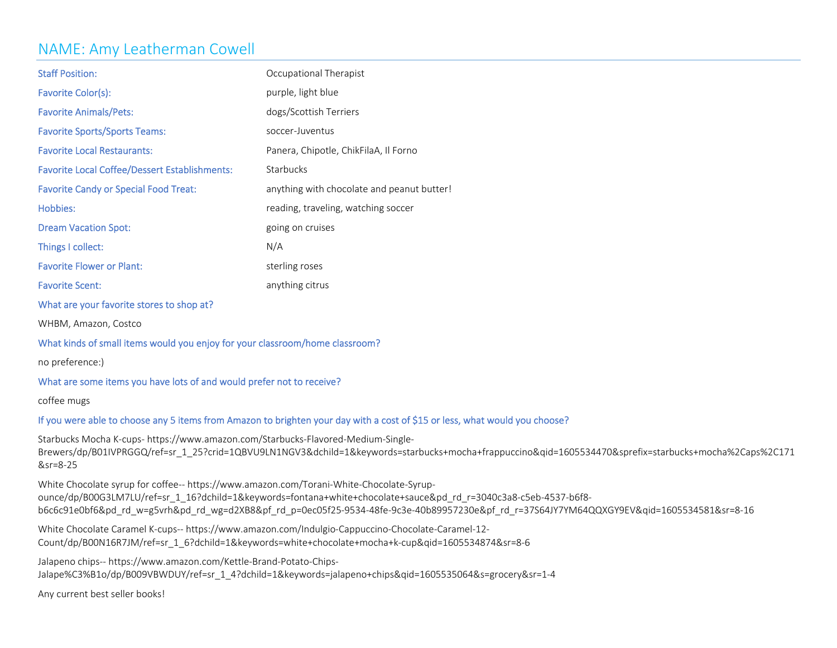### NAME: Amy Leatherman Cowell

| <b>Staff Position:</b>                               | Occupational Therapist                     |
|------------------------------------------------------|--------------------------------------------|
| Favorite Color(s):                                   | purple, light blue                         |
| <b>Favorite Animals/Pets:</b>                        | dogs/Scottish Terriers                     |
| <b>Favorite Sports/Sports Teams:</b>                 | soccer-Juventus                            |
| <b>Favorite Local Restaurants:</b>                   | Panera, Chipotle, ChikFilaA, Il Forno      |
| <b>Favorite Local Coffee/Dessert Establishments:</b> | <b>Starbucks</b>                           |
| <b>Favorite Candy or Special Food Treat:</b>         | anything with chocolate and peanut butter! |
| Hobbies:                                             | reading, traveling, watching soccer        |
| <b>Dream Vacation Spot:</b>                          | going on cruises                           |
| Things I collect:                                    | N/A                                        |
| <b>Favorite Flower or Plant:</b>                     | sterling roses                             |
| <b>Favorite Scent:</b>                               | anything citrus                            |

What are your favorite stores to shop at?

WHBM, Amazon, Costco

#### What kinds of small items would you enjoy for your classroom/home classroom?

no preference:)

#### What are some items you have lots of and would prefer not to receive?

coffee mugs

### If you were able to choose any <sup>5</sup> items from Amazon to brighten your day with <sup>a</sup> cost of \$15 or less, what would you choose?

Starbucks Mocha K‐cups‐ https://www.amazon.com/Starbucks‐Flavored‐Medium‐Single‐ Brewers/dp/B01IVPRGGQ/ref=sr\_1\_25?crid=1QBVU9LN1NGV3&dchild=1&keywords=starbucks+mocha+frappuccino&qid=1605534470&sprefix=starbucks+mocha%2Caps%2C171 &sr=8‐25

White Chocolate syrup for coffee‐‐ https://www.amazon.com/Torani‐White‐Chocolate‐Syrup‐ ounce/dp/B00G3LM7LU/ref=sr\_1\_16?dchild=1&keywords=fontana+white+chocolate+sauce&pd\_rd\_r=3040c3a8-c5eb-4537-b6f8b6c6c91e0bf6&pd\_rd\_w=g5vrh&pd\_rd\_wg=d2XB8&pf\_rd\_p=0ec05f25‐9534‐48fe‐9c3e‐40b89957230e&pf\_rd\_r=37S64JY7YM64QQXGY9EV&qid=1605534581&sr=8‐16

White Chocolate Caramel K‐cups‐‐ https://www.amazon.com/Indulgio‐Cappuccino‐Chocolate‐Caramel‐12‐ Count/dp/B00N16R7JM/ref=sr\_1\_6?dchild=1&keywords=white+chocolate+mocha+k‐cup&qid=1605534874&sr=8‐6

Jalapeno chips‐‐ https://www.amazon.com/Kettle‐Brand‐Potato‐Chips‐ Jalape%C3%B1o/dp/B009VBWDUY/ref=sr\_1\_4?dchild=1&keywords=jalapeno+chips&qid=1605535064&s=grocery&sr=1‐4

Any current best seller books!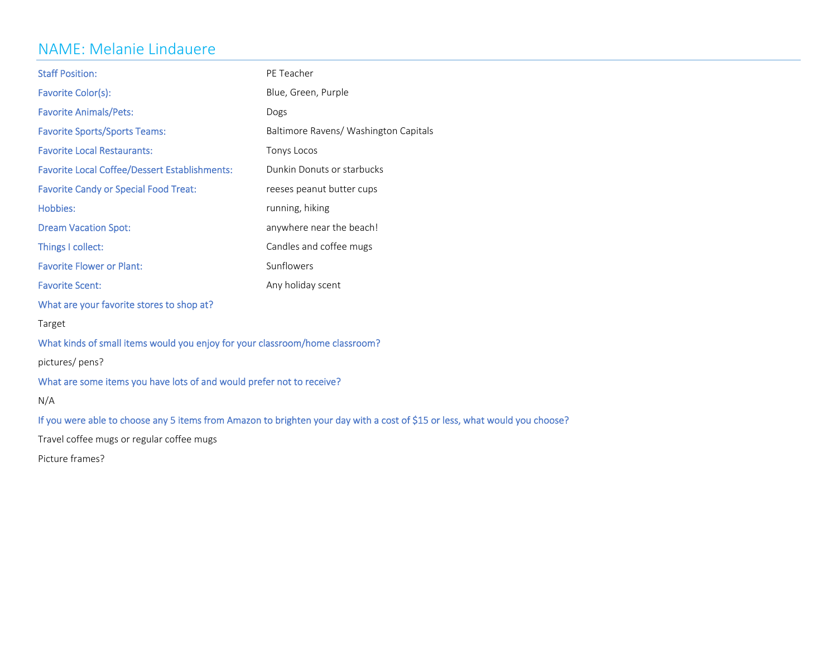### NAME: Melanie Lindauere

| <b>Staff Position:</b>                                                                                                      | PE Teacher                            |  |
|-----------------------------------------------------------------------------------------------------------------------------|---------------------------------------|--|
| Favorite Color(s):                                                                                                          | Blue, Green, Purple                   |  |
| <b>Favorite Animals/Pets:</b>                                                                                               | Dogs                                  |  |
| <b>Favorite Sports/Sports Teams:</b>                                                                                        | Baltimore Ravens/ Washington Capitals |  |
| <b>Favorite Local Restaurants:</b>                                                                                          | Tonys Locos                           |  |
| <b>Favorite Local Coffee/Dessert Establishments:</b>                                                                        | Dunkin Donuts or starbucks            |  |
| <b>Favorite Candy or Special Food Treat:</b>                                                                                | reeses peanut butter cups             |  |
| Hobbies:                                                                                                                    | running, hiking                       |  |
| <b>Dream Vacation Spot:</b>                                                                                                 | anywhere near the beach!              |  |
| Things I collect:                                                                                                           | Candles and coffee mugs               |  |
| <b>Favorite Flower or Plant:</b>                                                                                            | Sunflowers                            |  |
| <b>Favorite Scent:</b>                                                                                                      | Any holiday scent                     |  |
| What are your favorite stores to shop at?                                                                                   |                                       |  |
| Target                                                                                                                      |                                       |  |
| What kinds of small items would you enjoy for your classroom/home classroom?                                                |                                       |  |
| pictures/pens?                                                                                                              |                                       |  |
| What are some items you have lots of and would prefer not to receive?                                                       |                                       |  |
| N/A                                                                                                                         |                                       |  |
| If you were able to choose any 5 items from Amazon to brighten your day with a cost of \$15 or less, what would you choose? |                                       |  |
| Travel coffee mugs or regular coffee mugs                                                                                   |                                       |  |
| Picture frames?                                                                                                             |                                       |  |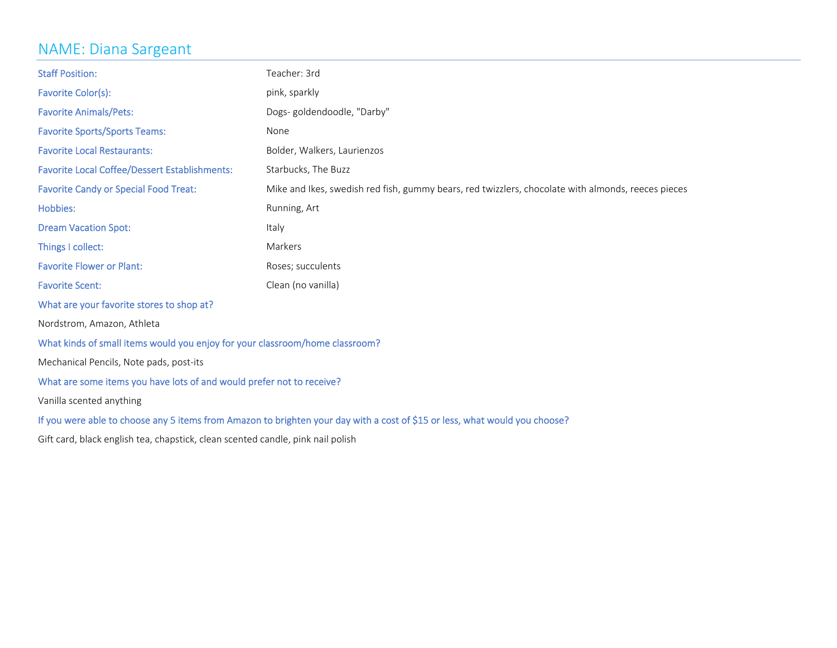### NAME: Diana Sargeant

| <b>Staff Position:</b>                                                                                                                             | Teacher: 3rd                |  |
|----------------------------------------------------------------------------------------------------------------------------------------------------|-----------------------------|--|
| Favorite Color(s):                                                                                                                                 | pink, sparkly               |  |
| <b>Favorite Animals/Pets:</b>                                                                                                                      | Dogs-goldendoodle, "Darby"  |  |
| <b>Favorite Sports/Sports Teams:</b>                                                                                                               | None                        |  |
| <b>Favorite Local Restaurants:</b>                                                                                                                 | Bolder, Walkers, Laurienzos |  |
| <b>Favorite Local Coffee/Dessert Establishments:</b>                                                                                               | Starbucks, The Buzz         |  |
| <b>Favorite Candy or Special Food Treat:</b><br>Mike and Ikes, swedish red fish, gummy bears, red twizzlers, chocolate with almonds, reeces pieces |                             |  |
| Hobbies:                                                                                                                                           | Running, Art                |  |
| <b>Dream Vacation Spot:</b>                                                                                                                        | Italy                       |  |
| Things I collect:                                                                                                                                  | Markers                     |  |
| <b>Favorite Flower or Plant:</b>                                                                                                                   | Roses; succulents           |  |
| <b>Favorite Scent:</b>                                                                                                                             | Clean (no vanilla)          |  |
| What are your favorite stores to shop at?                                                                                                          |                             |  |
| Nordstrom, Amazon, Athleta                                                                                                                         |                             |  |
| What kinds of small items would you enjoy for your classroom/home classroom?                                                                       |                             |  |
| Mechanical Pencils, Note pads, post-its                                                                                                            |                             |  |
| What are some items you have lots of and would prefer not to receive?                                                                              |                             |  |
| Vanilla scented anything                                                                                                                           |                             |  |
| If you were able to choose any 5 items from Amazon to brighten your day with a cost of \$15 or less, what would you choose?                        |                             |  |
| Gift card, black english tea, chapstick, clean scented candle, pink nail polish                                                                    |                             |  |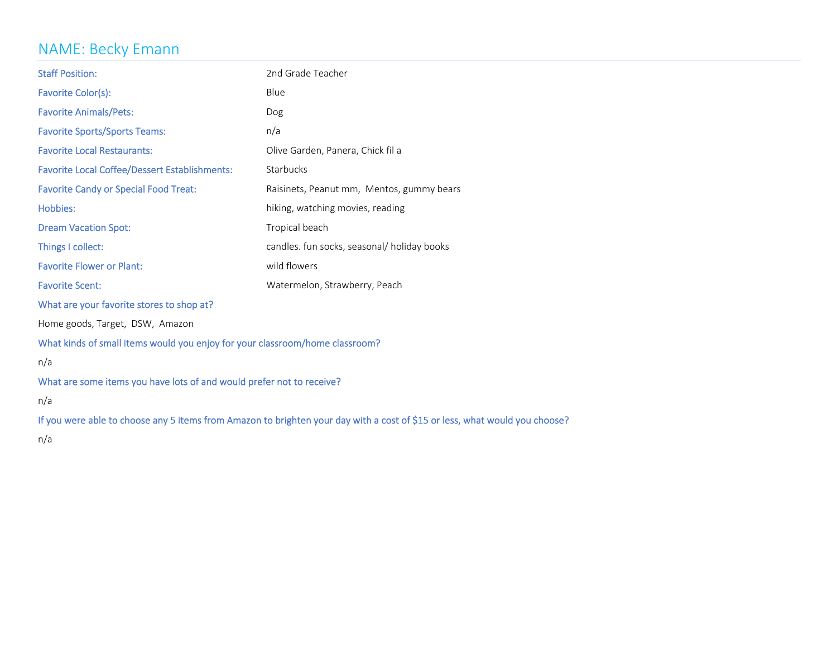# NAME: Becky Emann

| <b>Staff Position:</b>                                                                                                      | 2nd Grade Teacher                           |  |
|-----------------------------------------------------------------------------------------------------------------------------|---------------------------------------------|--|
| Favorite Color(s):                                                                                                          | Blue                                        |  |
| <b>Favorite Animals/Pets:</b>                                                                                               | Dog                                         |  |
| <b>Favorite Sports/Sports Teams:</b>                                                                                        | n/a                                         |  |
| <b>Favorite Local Restaurants:</b>                                                                                          | Olive Garden, Panera, Chick fil a           |  |
| <b>Favorite Local Coffee/Dessert Establishments:</b>                                                                        | Starbucks                                   |  |
| <b>Favorite Candy or Special Food Treat:</b>                                                                                | Raisinets, Peanut mm, Mentos, gummy bears   |  |
| Hobbies:                                                                                                                    | hiking, watching movies, reading            |  |
| <b>Dream Vacation Spot:</b>                                                                                                 | Tropical beach                              |  |
| Things I collect:                                                                                                           | candles. fun socks, seasonal/ holiday books |  |
| <b>Favorite Flower or Plant:</b>                                                                                            | wild flowers                                |  |
| <b>Favorite Scent:</b>                                                                                                      | Watermelon, Strawberry, Peach               |  |
| What are your favorite stores to shop at?                                                                                   |                                             |  |
| Home goods, Target, DSW, Amazon                                                                                             |                                             |  |
| What kinds of small items would you enjoy for your classroom/home classroom?                                                |                                             |  |
| n/a                                                                                                                         |                                             |  |
| What are some items you have lots of and would prefer not to receive?                                                       |                                             |  |
| n/a                                                                                                                         |                                             |  |
| If you were able to choose any 5 items from Amazon to brighten your day with a cost of \$15 or less, what would you choose? |                                             |  |
| n/a                                                                                                                         |                                             |  |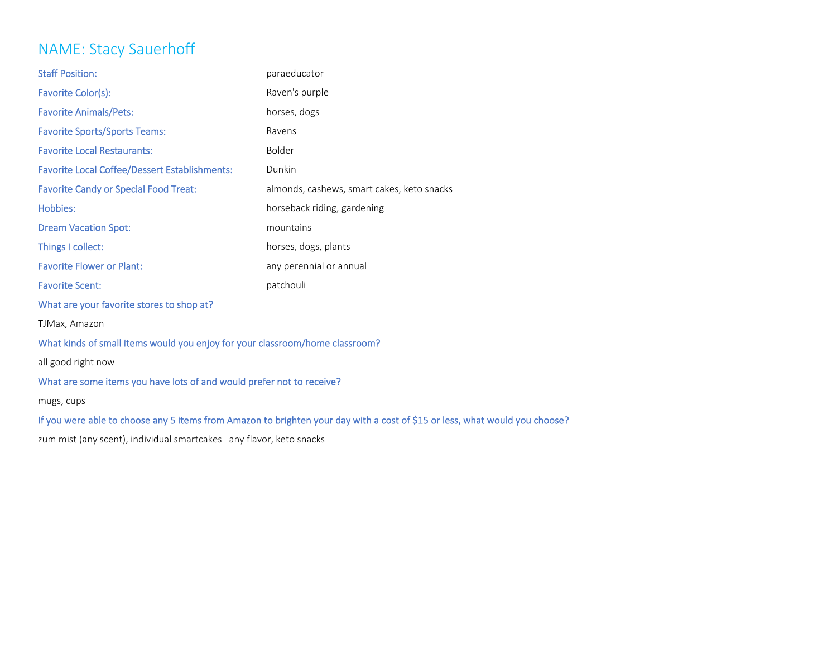# NAME: Stacy Sauerhoff

| <b>Staff Position:</b>                                                       | paraeducator                                                                                                                |  |
|------------------------------------------------------------------------------|-----------------------------------------------------------------------------------------------------------------------------|--|
| Favorite Color(s):                                                           | Raven's purple                                                                                                              |  |
| <b>Favorite Animals/Pets:</b>                                                | horses, dogs                                                                                                                |  |
| <b>Favorite Sports/Sports Teams:</b>                                         | Ravens                                                                                                                      |  |
| <b>Favorite Local Restaurants:</b>                                           | Bolder                                                                                                                      |  |
| <b>Favorite Local Coffee/Dessert Establishments:</b>                         | Dunkin                                                                                                                      |  |
| <b>Favorite Candy or Special Food Treat:</b>                                 | almonds, cashews, smart cakes, keto snacks                                                                                  |  |
| Hobbies:                                                                     | horseback riding, gardening                                                                                                 |  |
| <b>Dream Vacation Spot:</b>                                                  | mountains                                                                                                                   |  |
| Things I collect:                                                            | horses, dogs, plants                                                                                                        |  |
| <b>Favorite Flower or Plant:</b>                                             | any perennial or annual                                                                                                     |  |
| <b>Favorite Scent:</b>                                                       | patchouli                                                                                                                   |  |
| What are your favorite stores to shop at?                                    |                                                                                                                             |  |
| TJMax, Amazon                                                                |                                                                                                                             |  |
| What kinds of small items would you enjoy for your classroom/home classroom? |                                                                                                                             |  |
| all good right now                                                           |                                                                                                                             |  |
| What are some items you have lots of and would prefer not to receive?        |                                                                                                                             |  |
| mugs, cups                                                                   |                                                                                                                             |  |
|                                                                              | If you were able to choose any 5 items from Amazon to brighten your day with a cost of \$15 or less, what would you choose? |  |
|                                                                              |                                                                                                                             |  |

zum mist (any scent), individual smartcakes any flavor, keto snacks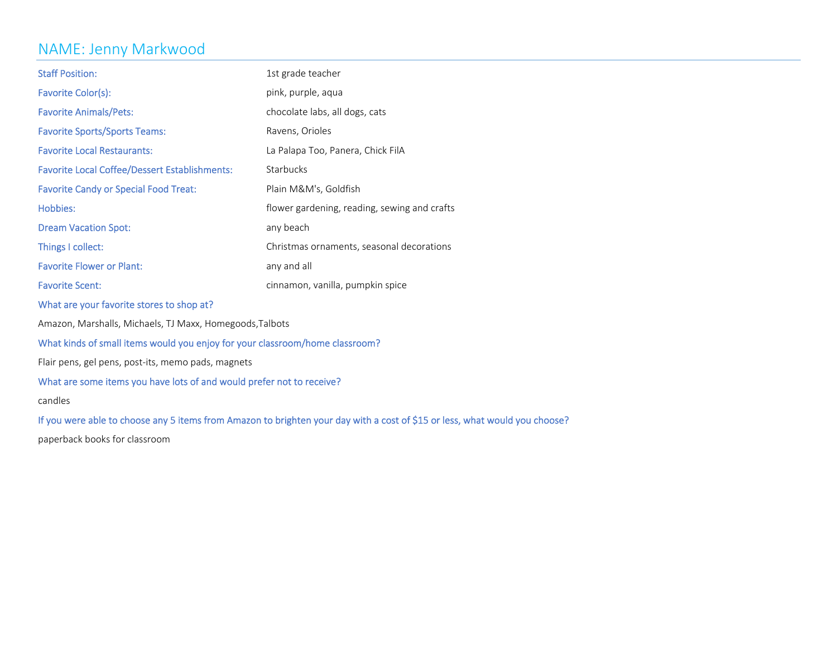### NAME: Jenny Markwood

| <b>Staff Position:</b>                               | 1st grade teacher                            |
|------------------------------------------------------|----------------------------------------------|
| Favorite Color(s):                                   | pink, purple, aqua                           |
| <b>Favorite Animals/Pets:</b>                        | chocolate labs, all dogs, cats               |
| <b>Favorite Sports/Sports Teams:</b>                 | Ravens, Orioles                              |
| <b>Favorite Local Restaurants:</b>                   | La Palapa Too, Panera, Chick FilA            |
| <b>Favorite Local Coffee/Dessert Establishments:</b> | <b>Starbucks</b>                             |
| <b>Favorite Candy or Special Food Treat:</b>         | Plain M&M's, Goldfish                        |
| Hobbies:                                             | flower gardening, reading, sewing and crafts |
| <b>Dream Vacation Spot:</b>                          | any beach                                    |
| Things I collect:                                    | Christmas ornaments, seasonal decorations    |
| <b>Favorite Flower or Plant:</b>                     | any and all                                  |
| <b>Favorite Scent:</b>                               | cinnamon, vanilla, pumpkin spice             |

What are your favorite stores to shop at?

Amazon, Marshalls, Michaels, TJ Maxx, Homegoods,Talbots

### What kinds of small items would you enjoy for your classroom/home classroom?

Flair pens, gel pens, post‐its, memo pads, magnets

### What are some items you have lots of and would prefer not to receive?

candles

If you were able to choose any <sup>5</sup> items from Amazon to brighten your day with <sup>a</sup> cost of \$15 or less, what would you choose?

paperback books for classroom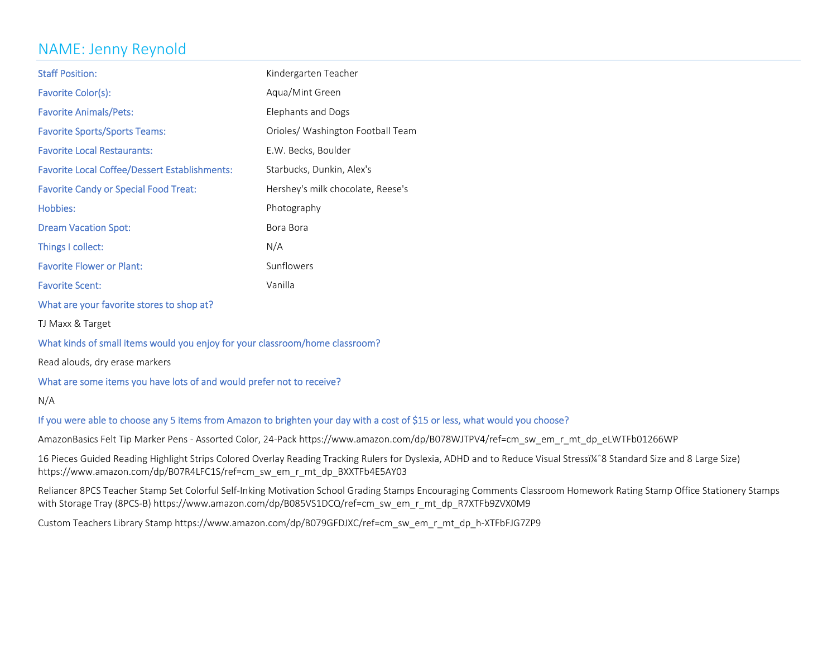# NAME: Jenny Reynold

| <b>Staff Position:</b>                               | Kindergarten Teacher              |
|------------------------------------------------------|-----------------------------------|
| Favorite Color(s):                                   | Aqua/Mint Green                   |
| <b>Favorite Animals/Pets:</b>                        | Elephants and Dogs                |
| <b>Favorite Sports/Sports Teams:</b>                 | Orioles/ Washington Football Team |
| <b>Favorite Local Restaurants:</b>                   | E.W. Becks, Boulder               |
| <b>Favorite Local Coffee/Dessert Establishments:</b> | Starbucks, Dunkin, Alex's         |
| <b>Favorite Candy or Special Food Treat:</b>         | Hershey's milk chocolate, Reese's |
| Hobbies:                                             | Photography                       |
| <b>Dream Vacation Spot:</b>                          | Bora Bora                         |
| Things I collect:                                    | N/A                               |
| <b>Favorite Flower or Plant:</b>                     | Sunflowers                        |
| <b>Favorite Scent:</b>                               | Vanilla                           |
|                                                      |                                   |

What are your favorite stores to shop at?

TJ Maxx & Target

#### What kinds of small items would you enjoy for your classroom/home classroom?

Read alouds, dry erase markers

#### What are some items you have lots of and would prefer not to receive?

N/A

#### If you were able to choose any <sup>5</sup> items from Amazon to brighten your day with <sup>a</sup> cost of \$15 or less, what would you choose?

AmazonBasics Felt Tip Marker Pens ‐ Assorted Color, 24‐Pack https://www.amazon.com/dp/B078WJTPV4/ref=cm\_sw\_em\_r\_mt\_dp\_eLWTFb01266WP

16 Pieces Guided Reading Highlight Strips Colored Overlay Reading Tracking Rulers for Dyslexia, ADHD and to Reduce Visual Stressï¼^8 Standard Size and 8 Large Size) https://www.amazon.com/dp/B07R4LFC1S/ref=cm\_sw\_em\_r\_mt\_dp\_BXXTFb4E5AY03

Reliancer 8PCS Teacher Stamp Set Colorful Self‐Inking Motivation School Grading Stamps Encouraging Comments Classroom Homework Rating Stamp Office Stationery Stamps with Storage Tray (8PCS‐B) https://www.amazon.com/dp/B085VS1DCQ/ref=cm\_sw\_em\_r\_mt\_dp\_R7XTFb9ZVX0M9

Custom Teachers Library Stamp https://www.amazon.com/dp/B079GFDJXC/ref=cm\_sw\_em\_r\_mt\_dp\_h‐XTFbFJG7ZP9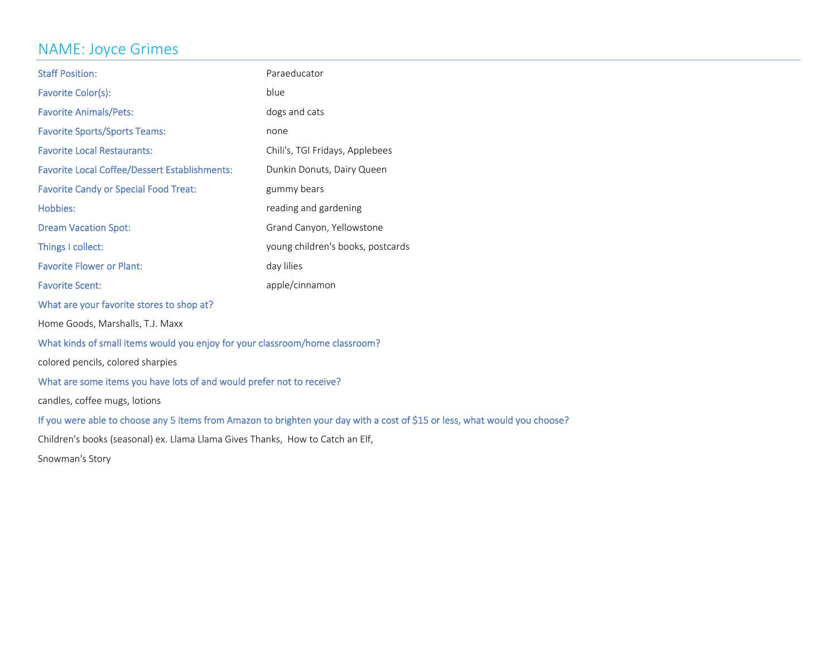### NAME: Joyce Grimes

| <b>Staff Position:</b>                                                         | Paraeducator                                                                                                                |  |
|--------------------------------------------------------------------------------|-----------------------------------------------------------------------------------------------------------------------------|--|
| Favorite Color(s):                                                             | blue                                                                                                                        |  |
| <b>Favorite Animals/Pets:</b>                                                  | dogs and cats                                                                                                               |  |
| <b>Favorite Sports/Sports Teams:</b>                                           | none                                                                                                                        |  |
| <b>Favorite Local Restaurants:</b>                                             | Chili's, TGI Fridays, Applebees                                                                                             |  |
| <b>Favorite Local Coffee/Dessert Establishments:</b>                           | Dunkin Donuts, Dairy Queen                                                                                                  |  |
| <b>Favorite Candy or Special Food Treat:</b>                                   | gummy bears                                                                                                                 |  |
| <b>Hobbies:</b>                                                                | reading and gardening                                                                                                       |  |
| <b>Dream Vacation Spot:</b>                                                    | Grand Canyon, Yellowstone                                                                                                   |  |
| Things I collect:                                                              | young children's books, postcards                                                                                           |  |
| <b>Favorite Flower or Plant:</b>                                               | day lilies                                                                                                                  |  |
| <b>Favorite Scent:</b>                                                         | apple/cinnamon                                                                                                              |  |
| What are your favorite stores to shop at?                                      |                                                                                                                             |  |
| Home Goods, Marshalls, T.J. Maxx                                               |                                                                                                                             |  |
| What kinds of small items would you enjoy for your classroom/home classroom?   |                                                                                                                             |  |
| colored pencils, colored sharpies                                              |                                                                                                                             |  |
| What are some items you have lots of and would prefer not to receive?          |                                                                                                                             |  |
| candles, coffee mugs, lotions                                                  |                                                                                                                             |  |
|                                                                                | If you were able to choose any 5 items from Amazon to brighten your day with a cost of \$15 or less, what would you choose? |  |
| Children's books (seasonal) ex. Llama Llama Gives Thanks, How to Catch an Elf, |                                                                                                                             |  |
| Snowman's Story                                                                |                                                                                                                             |  |
|                                                                                |                                                                                                                             |  |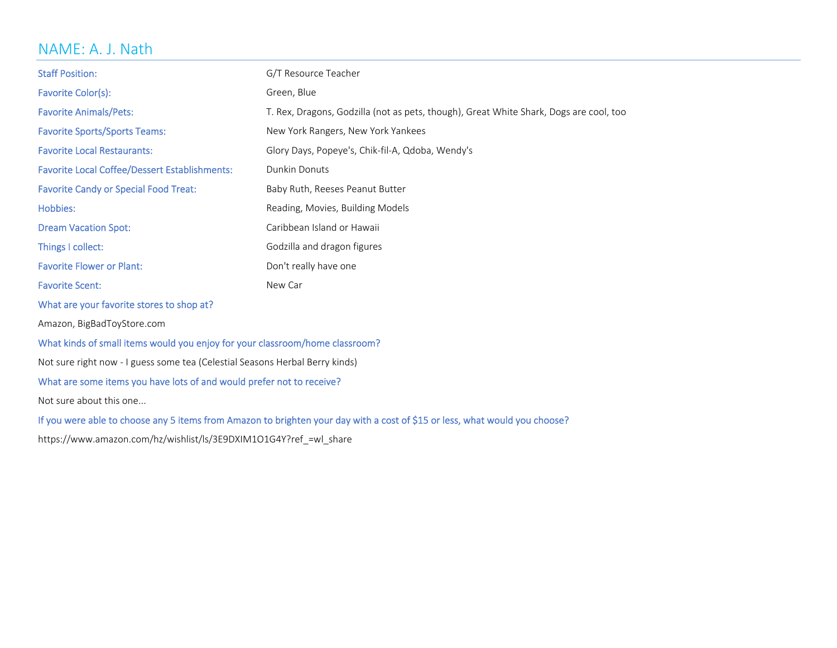# NAME: A. J. Nath

| <b>Staff Position:</b>                                                                                                      | G/T Resource Teacher                                                                   |  |
|-----------------------------------------------------------------------------------------------------------------------------|----------------------------------------------------------------------------------------|--|
| Favorite Color(s):                                                                                                          | Green, Blue                                                                            |  |
| <b>Favorite Animals/Pets:</b>                                                                                               | T. Rex, Dragons, Godzilla (not as pets, though), Great White Shark, Dogs are cool, too |  |
| <b>Favorite Sports/Sports Teams:</b>                                                                                        | New York Rangers, New York Yankees                                                     |  |
| <b>Favorite Local Restaurants:</b>                                                                                          | Glory Days, Popeye's, Chik-fil-A, Qdoba, Wendy's                                       |  |
| <b>Favorite Local Coffee/Dessert Establishments:</b>                                                                        | Dunkin Donuts                                                                          |  |
| <b>Favorite Candy or Special Food Treat:</b>                                                                                | Baby Ruth, Reeses Peanut Butter                                                        |  |
| Hobbies:                                                                                                                    | Reading, Movies, Building Models                                                       |  |
| <b>Dream Vacation Spot:</b>                                                                                                 | Caribbean Island or Hawaii                                                             |  |
| Things I collect:                                                                                                           | Godzilla and dragon figures                                                            |  |
| <b>Favorite Flower or Plant:</b>                                                                                            | Don't really have one                                                                  |  |
| <b>Favorite Scent:</b>                                                                                                      | New Car                                                                                |  |
| What are your favorite stores to shop at?                                                                                   |                                                                                        |  |
| Amazon, BigBadToyStore.com                                                                                                  |                                                                                        |  |
| What kinds of small items would you enjoy for your classroom/home classroom?                                                |                                                                                        |  |
| Not sure right now - I guess some tea (Celestial Seasons Herbal Berry kinds)                                                |                                                                                        |  |
| What are some items you have lots of and would prefer not to receive?                                                       |                                                                                        |  |
| Not sure about this one                                                                                                     |                                                                                        |  |
| If you were able to choose any 5 items from Amazon to brighten your day with a cost of \$15 or less, what would you choose? |                                                                                        |  |
| https://www.amazon.com/hz/wishlist/ls/3E9DXIM1O1G4Y?ref_=wl_share                                                           |                                                                                        |  |
|                                                                                                                             |                                                                                        |  |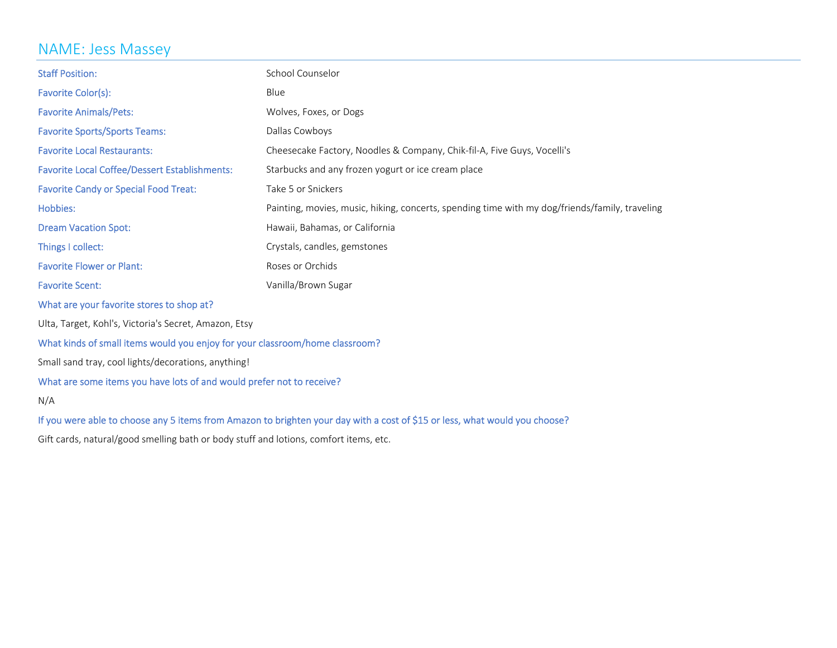# NAME: Jess Massey

| <b>Staff Position:</b>                                                                                                      | School Counselor                                                                               |  |
|-----------------------------------------------------------------------------------------------------------------------------|------------------------------------------------------------------------------------------------|--|
| Favorite Color(s):                                                                                                          | Blue                                                                                           |  |
| <b>Favorite Animals/Pets:</b>                                                                                               | Wolves, Foxes, or Dogs                                                                         |  |
| <b>Favorite Sports/Sports Teams:</b>                                                                                        | Dallas Cowboys                                                                                 |  |
| <b>Favorite Local Restaurants:</b>                                                                                          | Cheesecake Factory, Noodles & Company, Chik-fil-A, Five Guys, Vocelli's                        |  |
| <b>Favorite Local Coffee/Dessert Establishments:</b>                                                                        | Starbucks and any frozen yogurt or ice cream place                                             |  |
| <b>Favorite Candy or Special Food Treat:</b>                                                                                | Take 5 or Snickers                                                                             |  |
| Hobbies:                                                                                                                    | Painting, movies, music, hiking, concerts, spending time with my dog/friends/family, traveling |  |
| <b>Dream Vacation Spot:</b>                                                                                                 | Hawaii, Bahamas, or California                                                                 |  |
| Things I collect:                                                                                                           | Crystals, candles, gemstones                                                                   |  |
| <b>Favorite Flower or Plant:</b>                                                                                            | Roses or Orchids                                                                               |  |
| <b>Favorite Scent:</b>                                                                                                      | Vanilla/Brown Sugar                                                                            |  |
| What are your favorite stores to shop at?                                                                                   |                                                                                                |  |
| Ulta, Target, Kohl's, Victoria's Secret, Amazon, Etsy                                                                       |                                                                                                |  |
| What kinds of small items would you enjoy for your classroom/home classroom?                                                |                                                                                                |  |
| Small sand tray, cool lights/decorations, anything!                                                                         |                                                                                                |  |
| What are some items you have lots of and would prefer not to receive?                                                       |                                                                                                |  |
| N/A                                                                                                                         |                                                                                                |  |
| If you were able to choose any 5 items from Amazon to brighten your day with a cost of \$15 or less, what would you choose? |                                                                                                |  |

Gift cards, natural/good smelling bath or body stuff and lotions, comfort items, etc.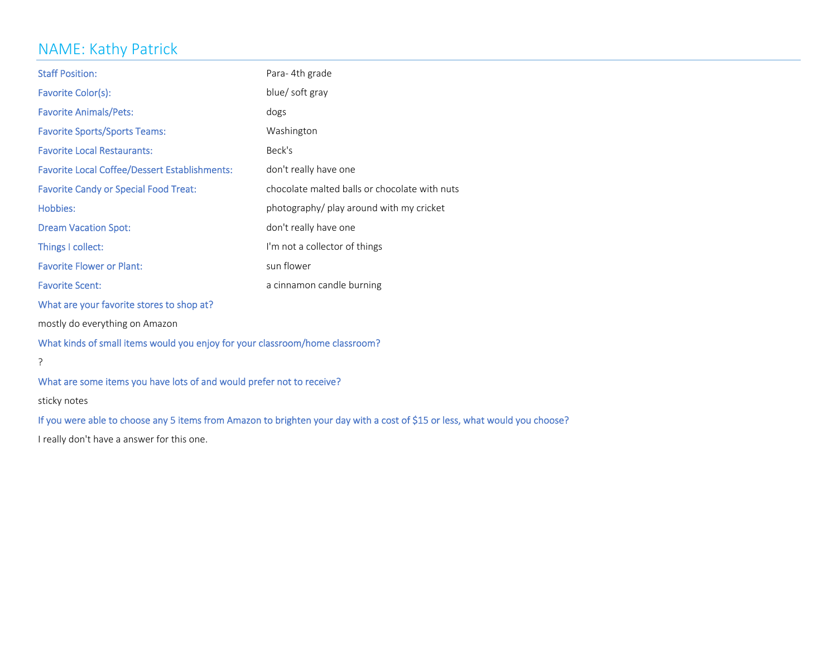# NAME: Kathy Patrick

| <b>Staff Position:</b>                                                       | Para-4th grade                                                                                                              |  |
|------------------------------------------------------------------------------|-----------------------------------------------------------------------------------------------------------------------------|--|
| Favorite Color(s):                                                           | blue/ soft gray                                                                                                             |  |
| <b>Favorite Animals/Pets:</b>                                                | dogs                                                                                                                        |  |
| <b>Favorite Sports/Sports Teams:</b>                                         | Washington                                                                                                                  |  |
| <b>Favorite Local Restaurants:</b>                                           | Beck's                                                                                                                      |  |
| <b>Favorite Local Coffee/Dessert Establishments:</b>                         | don't really have one                                                                                                       |  |
| <b>Favorite Candy or Special Food Treat:</b>                                 | chocolate malted balls or chocolate with nuts                                                                               |  |
| Hobbies:                                                                     | photography/ play around with my cricket                                                                                    |  |
| <b>Dream Vacation Spot:</b>                                                  | don't really have one                                                                                                       |  |
| Things I collect:                                                            | I'm not a collector of things                                                                                               |  |
| <b>Favorite Flower or Plant:</b>                                             | sun flower                                                                                                                  |  |
| <b>Favorite Scent:</b>                                                       | a cinnamon candle burning                                                                                                   |  |
| What are your favorite stores to shop at?                                    |                                                                                                                             |  |
| mostly do everything on Amazon                                               |                                                                                                                             |  |
| What kinds of small items would you enjoy for your classroom/home classroom? |                                                                                                                             |  |
| ?                                                                            |                                                                                                                             |  |
| What are some items you have lots of and would prefer not to receive?        |                                                                                                                             |  |
| sticky notes                                                                 |                                                                                                                             |  |
|                                                                              | If you were able to choose any 5 items from Amazon to brighten your day with a cost of \$15 or less, what would you choose? |  |

I really don't have a answer for this one.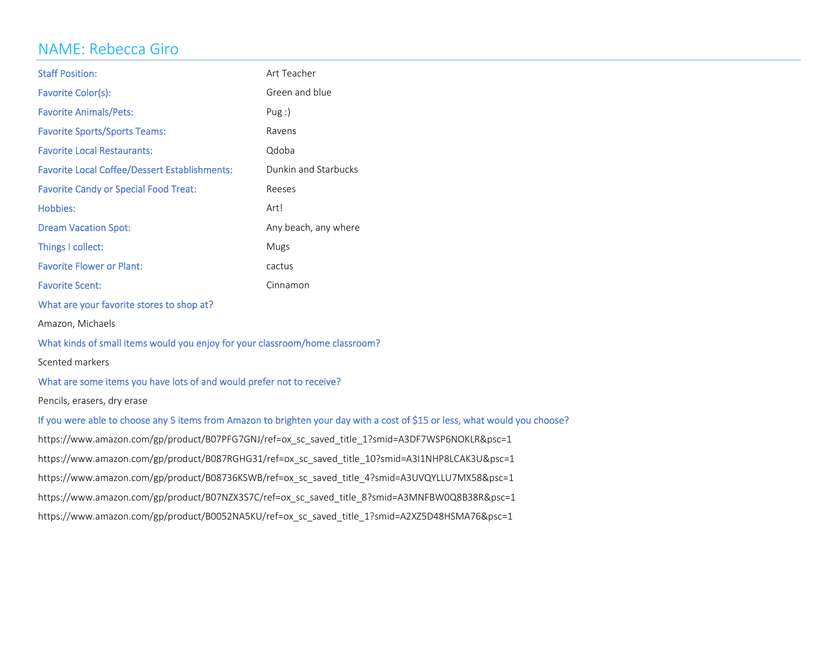### NAME: Rebecca Giro

| <b>Staff Position:</b>                                                                                                      | Art Teacher          |  |
|-----------------------------------------------------------------------------------------------------------------------------|----------------------|--|
| Favorite Color(s):                                                                                                          | Green and blue       |  |
| <b>Favorite Animals/Pets:</b>                                                                                               | Pug:                 |  |
| <b>Favorite Sports/Sports Teams:</b>                                                                                        | Ravens               |  |
| <b>Favorite Local Restaurants:</b>                                                                                          | Qdoba                |  |
| <b>Favorite Local Coffee/Dessert Establishments:</b>                                                                        | Dunkin and Starbucks |  |
| <b>Favorite Candy or Special Food Treat:</b>                                                                                | Reeses               |  |
| Hobbies:                                                                                                                    | Art!                 |  |
| <b>Dream Vacation Spot:</b>                                                                                                 | Any beach, any where |  |
| Things I collect:                                                                                                           | Mugs                 |  |
| <b>Favorite Flower or Plant:</b>                                                                                            | cactus               |  |
| <b>Favorite Scent:</b>                                                                                                      | Cinnamon             |  |
| What are your favorite stores to shop at?                                                                                   |                      |  |
| Amazon, Michaels                                                                                                            |                      |  |
| What kinds of small items would you enjoy for your classroom/home classroom?                                                |                      |  |
| Scented markers                                                                                                             |                      |  |
| What are some items you have lots of and would prefer not to receive?                                                       |                      |  |
| Pencils, erasers, dry erase                                                                                                 |                      |  |
| If you were able to choose any 5 items from Amazon to brighten your day with a cost of \$15 or less, what would you choose? |                      |  |
| https://www.amazon.com/gp/product/B07PFG7GNJ/ref=ox sc saved title 1?smid=A3DF7WSP6NOKLR&psc=1                              |                      |  |
| https://www.amazon.com/gp/product/B087RGHG31/ref=ox sc saved title 10?smid=A3I1NHP8LCAK3U&psc=1                             |                      |  |
| https://www.amazon.com/gp/product/B08736KSWB/ref=ox_sc_saved_title_4?smid=A3UVQYLLU7MX58&psc=1                              |                      |  |
| https://www.amazon.com/gp/product/B07NZX3S7C/ref=ox sc saved title 8?smid=A3MNFBW0Q8B38R&psc=1                              |                      |  |
| https://www.amazon.com/gp/product/B0052NA5KU/ref=ox_sc_saved_title_1?smid=A2XZ5D48HSMA76&psc=1                              |                      |  |
|                                                                                                                             |                      |  |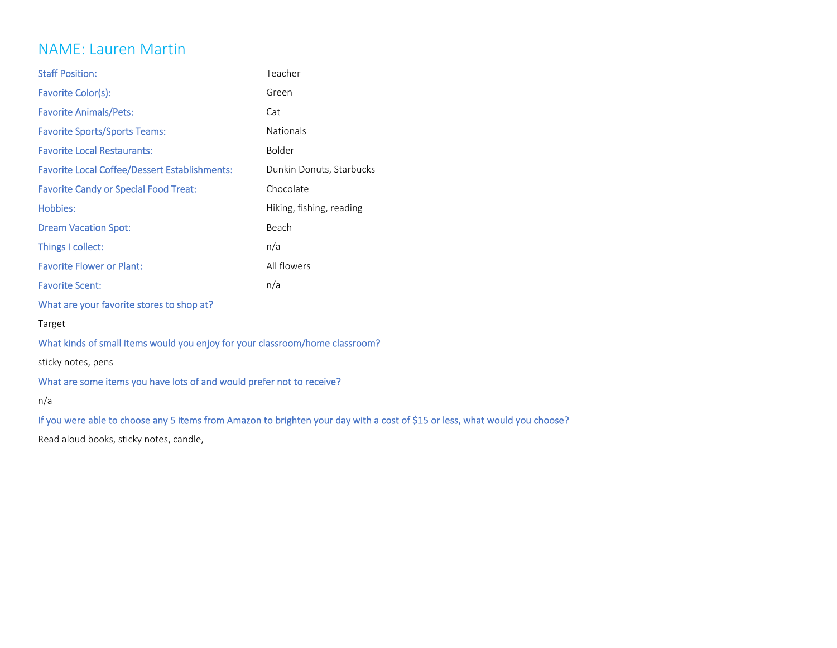### NAME: Lauren Martin

| <b>Staff Position:</b>                                                       | Teacher                  |
|------------------------------------------------------------------------------|--------------------------|
| Favorite Color(s):                                                           | Green                    |
| <b>Favorite Animals/Pets:</b>                                                | Cat                      |
| <b>Favorite Sports/Sports Teams:</b>                                         | Nationals                |
| <b>Favorite Local Restaurants:</b>                                           | Bolder                   |
| <b>Favorite Local Coffee/Dessert Establishments:</b>                         | Dunkin Donuts, Starbucks |
| <b>Favorite Candy or Special Food Treat:</b>                                 | Chocolate                |
| Hobbies:                                                                     | Hiking, fishing, reading |
| <b>Dream Vacation Spot:</b>                                                  | Beach                    |
| Things I collect:                                                            | n/a                      |
| <b>Favorite Flower or Plant:</b>                                             | All flowers              |
| <b>Favorite Scent:</b>                                                       | n/a                      |
| What are your favorite stores to shop at?                                    |                          |
| Target                                                                       |                          |
| What kinds of small items would you enjoy for your classroom/home classroom? |                          |
| sticky notes, pens                                                           |                          |
| What are some items you have lots of and would prefer not to receive?        |                          |
| n/a                                                                          |                          |
|                                                                              |                          |

If you were able to choose any <sup>5</sup> items from Amazon to brighten your day with <sup>a</sup> cost of \$15 or less, what would you choose?

Read aloud books, sticky notes, candle,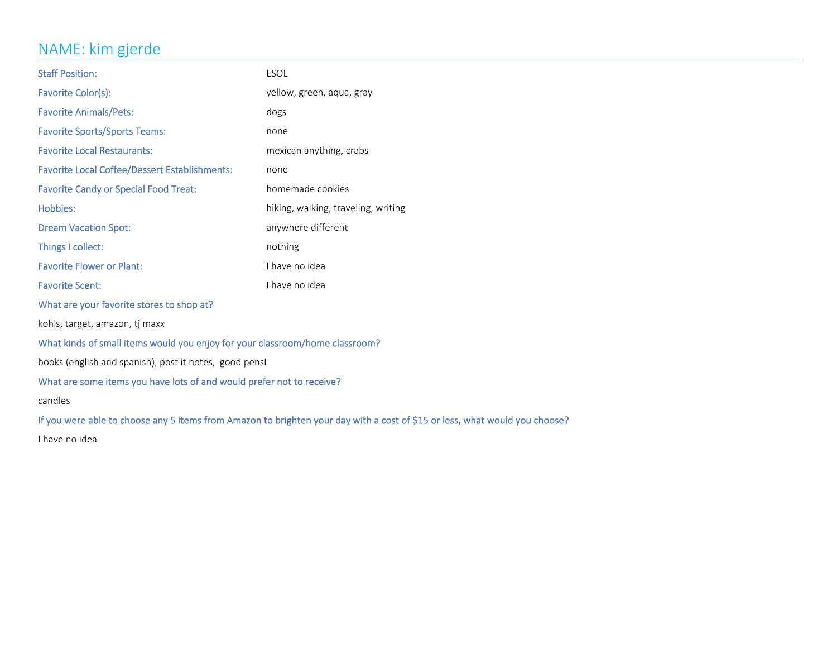# NAME: kim gjerde

| Favorite Color(s):<br>yellow, green, aqua, gray<br><b>Favorite Animals/Pets:</b><br>dogs<br><b>Favorite Sports/Sports Teams:</b><br>none<br><b>Favorite Local Restaurants:</b><br>mexican anything, crabs<br><b>Favorite Local Coffee/Dessert Establishments:</b><br>none<br>homemade cookies<br><b>Favorite Candy or Special Food Treat:</b><br>Hobbies:<br>hiking, walking, traveling, writing |  |  |
|--------------------------------------------------------------------------------------------------------------------------------------------------------------------------------------------------------------------------------------------------------------------------------------------------------------------------------------------------------------------------------------------------|--|--|
|                                                                                                                                                                                                                                                                                                                                                                                                  |  |  |
|                                                                                                                                                                                                                                                                                                                                                                                                  |  |  |
|                                                                                                                                                                                                                                                                                                                                                                                                  |  |  |
|                                                                                                                                                                                                                                                                                                                                                                                                  |  |  |
|                                                                                                                                                                                                                                                                                                                                                                                                  |  |  |
|                                                                                                                                                                                                                                                                                                                                                                                                  |  |  |
|                                                                                                                                                                                                                                                                                                                                                                                                  |  |  |
| anywhere different<br><b>Dream Vacation Spot:</b>                                                                                                                                                                                                                                                                                                                                                |  |  |
| Things I collect:<br>nothing                                                                                                                                                                                                                                                                                                                                                                     |  |  |
| I have no idea<br><b>Favorite Flower or Plant:</b>                                                                                                                                                                                                                                                                                                                                               |  |  |
| I have no idea<br><b>Favorite Scent:</b>                                                                                                                                                                                                                                                                                                                                                         |  |  |
| What are your favorite stores to shop at?                                                                                                                                                                                                                                                                                                                                                        |  |  |
| kohls, target, amazon, tj maxx                                                                                                                                                                                                                                                                                                                                                                   |  |  |
| What kinds of small items would you enjoy for your classroom/home classroom?                                                                                                                                                                                                                                                                                                                     |  |  |
| books (english and spanish), post it notes, good pensl                                                                                                                                                                                                                                                                                                                                           |  |  |
| What are some items you have lots of and would prefer not to receive?                                                                                                                                                                                                                                                                                                                            |  |  |
| candles                                                                                                                                                                                                                                                                                                                                                                                          |  |  |
| If you were able to choose any 5 items from Amazon to brighten your day with a cost of \$15 or less, what would you choose?                                                                                                                                                                                                                                                                      |  |  |
| I have no idea                                                                                                                                                                                                                                                                                                                                                                                   |  |  |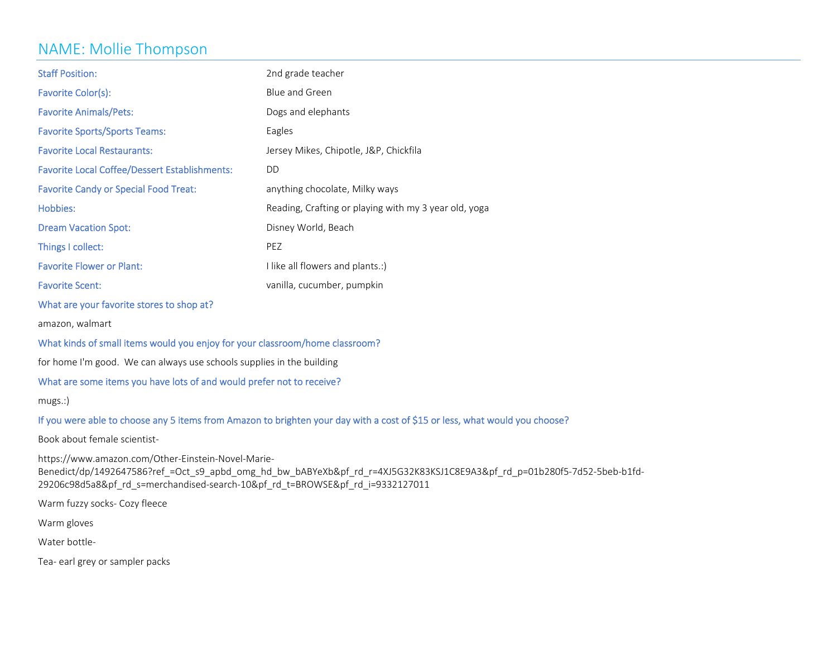### NAME: Mollie Thompson

| <b>Staff Position:</b>                               | 2nd grade teacher                                     |
|------------------------------------------------------|-------------------------------------------------------|
| Favorite Color(s):                                   | Blue and Green                                        |
| <b>Favorite Animals/Pets:</b>                        | Dogs and elephants                                    |
| <b>Favorite Sports/Sports Teams:</b>                 | Eagles                                                |
| <b>Favorite Local Restaurants:</b>                   | Jersey Mikes, Chipotle, J&P, Chickfila                |
| <b>Favorite Local Coffee/Dessert Establishments:</b> | DD                                                    |
| <b>Favorite Candy or Special Food Treat:</b>         | anything chocolate, Milky ways                        |
|                                                      |                                                       |
| Hobbies:                                             | Reading, Crafting or playing with my 3 year old, yoga |
| <b>Dream Vacation Spot:</b>                          | Disney World, Beach                                   |
| Things I collect:                                    | PEZ                                                   |
| <b>Favorite Flower or Plant:</b>                     | I like all flowers and plants.:)                      |

What are your favorite stores to shop at?

amazon, walmart

#### What kinds of small items would you enjoy for your classroom/home classroom?

for home I'm good. We can always use schools supplies in the building

### What are some items you have lots of and would prefer not to receive?

mugs.:)

#### If you were able to choose any <sup>5</sup> items from Amazon to brighten your day with <sup>a</sup> cost of \$15 or less, what would you choose?

Book about female scientist‐

https://www.amazon.com/Other‐Einstein‐Novel‐Marie‐

```
Benedict/dp/1492647586?ref =Oct s9_apbd_omg_hd_bw_bABYeXb&pf_rd_r=4XJ5G32K83KSJ1C8E9A3&pf_rd_p=01b280f5-7d52-5beb-b1fd-
29206c98d5a8&pf_rd_s=merchandised‐search‐10&pf_rd_t=BROWSE&pf_rd_i=9332127011
```
Warm fuzzy socks‐ Cozy fleece

Warm gloves

Water bottle‐

Tea‐ earl grey or sampler packs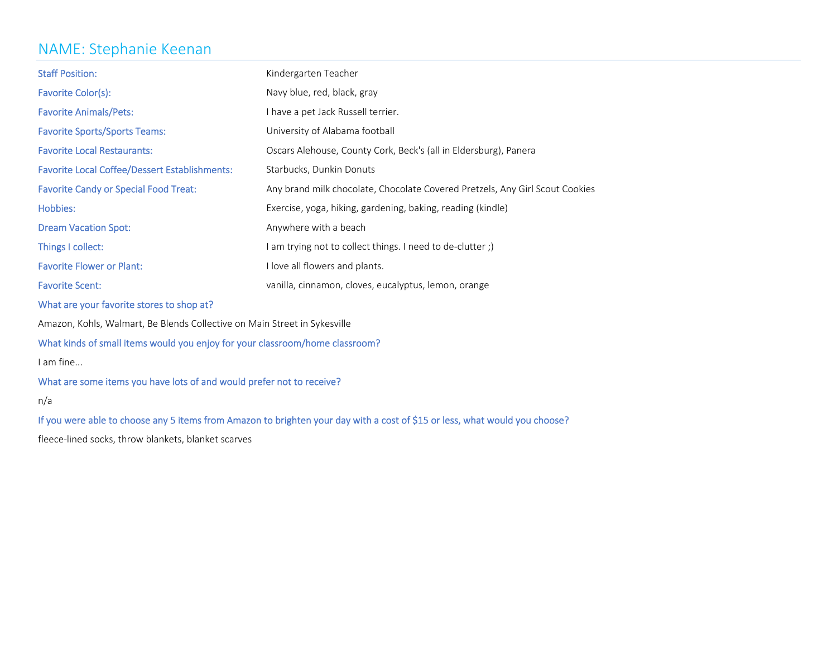### NAME: Stephanie Keenan

| <b>Staff Position:</b>                                                       | Kindergarten Teacher                                                         |  |
|------------------------------------------------------------------------------|------------------------------------------------------------------------------|--|
| Favorite Color(s):                                                           | Navy blue, red, black, gray                                                  |  |
| <b>Favorite Animals/Pets:</b>                                                | I have a pet Jack Russell terrier.                                           |  |
| <b>Favorite Sports/Sports Teams:</b>                                         | University of Alabama football                                               |  |
| <b>Favorite Local Restaurants:</b>                                           | Oscars Alehouse, County Cork, Beck's (all in Eldersburg), Panera             |  |
| <b>Favorite Local Coffee/Dessert Establishments:</b>                         | Starbucks, Dunkin Donuts                                                     |  |
| <b>Favorite Candy or Special Food Treat:</b>                                 | Any brand milk chocolate, Chocolate Covered Pretzels, Any Girl Scout Cookies |  |
| Hobbies:                                                                     | Exercise, yoga, hiking, gardening, baking, reading (kindle)                  |  |
| <b>Dream Vacation Spot:</b>                                                  | Anywhere with a beach                                                        |  |
| Things I collect:                                                            | I am trying not to collect things. I need to de-clutter ;)                   |  |
| <b>Favorite Flower or Plant:</b>                                             | I love all flowers and plants.                                               |  |
| <b>Favorite Scent:</b>                                                       | vanilla, cinnamon, cloves, eucalyptus, lemon, orange                         |  |
| What are your favorite stores to shop at?                                    |                                                                              |  |
| Amazon, Kohls, Walmart, Be Blends Collective on Main Street in Sykesville    |                                                                              |  |
| What kinds of small items would you enjoy for your classroom/home classroom? |                                                                              |  |
| I am fine                                                                    |                                                                              |  |
| What are some items you have lots of and would prefer not to receive?        |                                                                              |  |

n/a

If you were able to choose any <sup>5</sup> items from Amazon to brighten your day with <sup>a</sup> cost of \$15 or less, what would you choose?

fleece‐lined socks, throw blankets, blanket scarves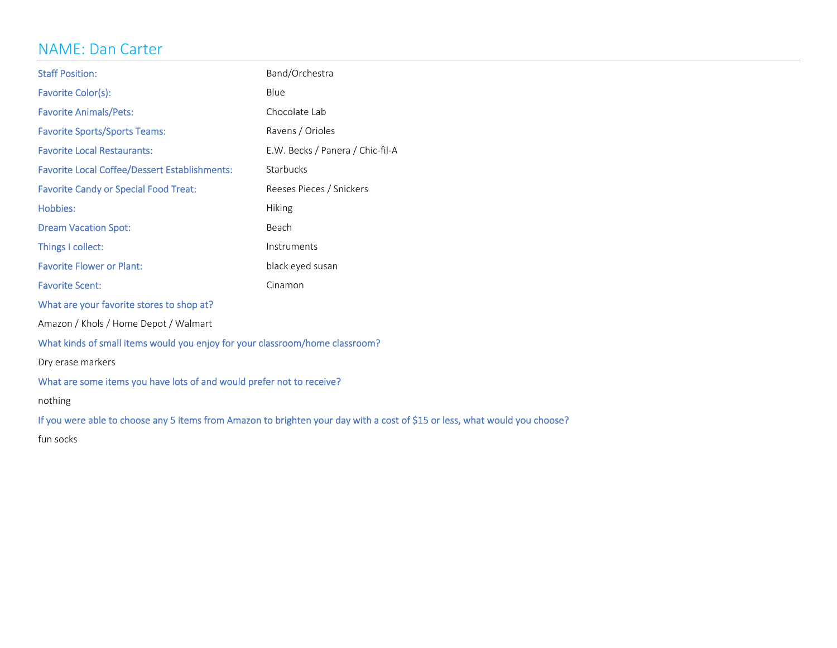# NAME: Dan Carter

| <b>Staff Position:</b>                                                                                                      | Band/Orchestra                   |  |
|-----------------------------------------------------------------------------------------------------------------------------|----------------------------------|--|
| Favorite Color(s):                                                                                                          | Blue                             |  |
| <b>Favorite Animals/Pets:</b>                                                                                               | Chocolate Lab                    |  |
| <b>Favorite Sports/Sports Teams:</b>                                                                                        | Ravens / Orioles                 |  |
| <b>Favorite Local Restaurants:</b>                                                                                          | E.W. Becks / Panera / Chic-fil-A |  |
| <b>Favorite Local Coffee/Dessert Establishments:</b>                                                                        | Starbucks                        |  |
| <b>Favorite Candy or Special Food Treat:</b>                                                                                | Reeses Pieces / Snickers         |  |
| Hobbies:                                                                                                                    | Hiking                           |  |
| <b>Dream Vacation Spot:</b>                                                                                                 | Beach                            |  |
| Things I collect:                                                                                                           | Instruments                      |  |
| <b>Favorite Flower or Plant:</b>                                                                                            | black eyed susan                 |  |
| <b>Favorite Scent:</b><br>Cinamon                                                                                           |                                  |  |
| What are your favorite stores to shop at?                                                                                   |                                  |  |
| Amazon / Khols / Home Depot / Walmart                                                                                       |                                  |  |
| What kinds of small items would you enjoy for your classroom/home classroom?                                                |                                  |  |
| Dry erase markers                                                                                                           |                                  |  |
| What are some items you have lots of and would prefer not to receive?                                                       |                                  |  |
| nothing                                                                                                                     |                                  |  |
| If you were able to choose any 5 items from Amazon to brighten your day with a cost of \$15 or less, what would you choose? |                                  |  |
| fun socks                                                                                                                   |                                  |  |
|                                                                                                                             |                                  |  |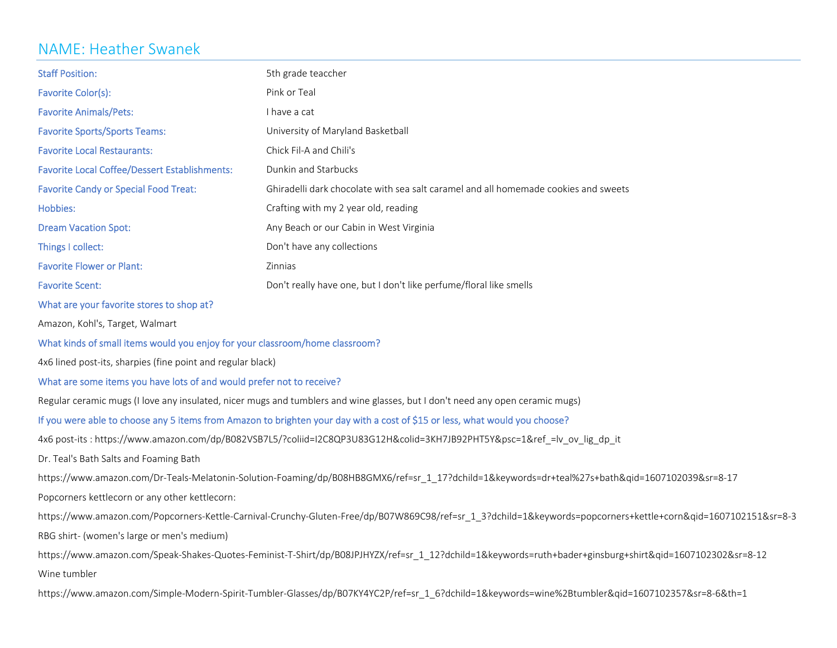### NAME: Heather Swanek

| <b>Staff Position:</b>                                                       | 5th grade teaccher                                                                                                                                            |
|------------------------------------------------------------------------------|---------------------------------------------------------------------------------------------------------------------------------------------------------------|
| Pink or Teal<br>Favorite Color(s):                                           |                                                                                                                                                               |
| <b>Favorite Animals/Pets:</b>                                                | I have a cat                                                                                                                                                  |
| <b>Favorite Sports/Sports Teams:</b>                                         | University of Maryland Basketball                                                                                                                             |
| <b>Favorite Local Restaurants:</b>                                           | Chick Fil-A and Chili's                                                                                                                                       |
| <b>Favorite Local Coffee/Dessert Establishments:</b>                         | Dunkin and Starbucks                                                                                                                                          |
| <b>Favorite Candy or Special Food Treat:</b>                                 | Ghiradelli dark chocolate with sea salt caramel and all homemade cookies and sweets                                                                           |
| Hobbies:                                                                     | Crafting with my 2 year old, reading                                                                                                                          |
| <b>Dream Vacation Spot:</b>                                                  | Any Beach or our Cabin in West Virginia                                                                                                                       |
| Things I collect:                                                            | Don't have any collections                                                                                                                                    |
| <b>Favorite Flower or Plant:</b>                                             | Zinnias                                                                                                                                                       |
| <b>Favorite Scent:</b>                                                       | Don't really have one, but I don't like perfume/floral like smells                                                                                            |
| What are your favorite stores to shop at?                                    |                                                                                                                                                               |
| Amazon, Kohl's, Target, Walmart                                              |                                                                                                                                                               |
| What kinds of small items would you enjoy for your classroom/home classroom? |                                                                                                                                                               |
| 4x6 lined post-its, sharpies (fine point and regular black)                  |                                                                                                                                                               |
| What are some items you have lots of and would prefer not to receive?        |                                                                                                                                                               |
|                                                                              | Regular ceramic mugs (I love any insulated, nicer mugs and tumblers and wine glasses, but I don't need any open ceramic mugs)                                 |
|                                                                              | If you were able to choose any 5 items from Amazon to brighten your day with a cost of \$15 or less, what would you choose?                                   |
|                                                                              | 4x6 post-its : https://www.amazon.com/dp/B082VSB7L5/?coliid=I2C8QP3U83G12H&colid=3KH7JB92PHT5Y&psc=1&ref_=lv_ov_lig_dp_it                                     |
| Dr. Teal's Bath Salts and Foaming Bath                                       |                                                                                                                                                               |
|                                                                              | https://www.amazon.com/Dr-Teals-Melatonin-Solution-Foaming/dp/B08HB8GMX6/ref=sr_1_17?dchild=1&keywords=dr+teal%27s+bath&qid=1607102039&sr=8-17                |
| Popcorners kettlecorn or any other kettlecorn:                               |                                                                                                                                                               |
|                                                                              | https://www.amazon.com/Popcorners-Kettle-Carnival-Crunchy-Gluten-Free/dp/B07W869C98/ref=sr_1_3?dchild=1&keywords=popcorners+kettle+corn&qid=1607102151&sr=8-3 |
| RBG shirt- (women's large or men's medium)                                   |                                                                                                                                                               |
|                                                                              | https://www.amazon.com/Speak-Shakes-Quotes-Feminist-T-Shirt/dp/B08JPJHYZX/ref=sr 1 12?dchild=1&keywords=ruth+bader+ginsburg+shirt&qid=1607102302&sr=8-12      |
|                                                                              |                                                                                                                                                               |

Wine tumbler

https://www.amazon.com/Simple‐Modern‐Spirit‐Tumbler‐Glasses/dp/B07KY4YC2P/ref=sr\_1\_6?dchild=1&keywords=wine%2Btumbler&qid=1607102357&sr=8‐6&th=1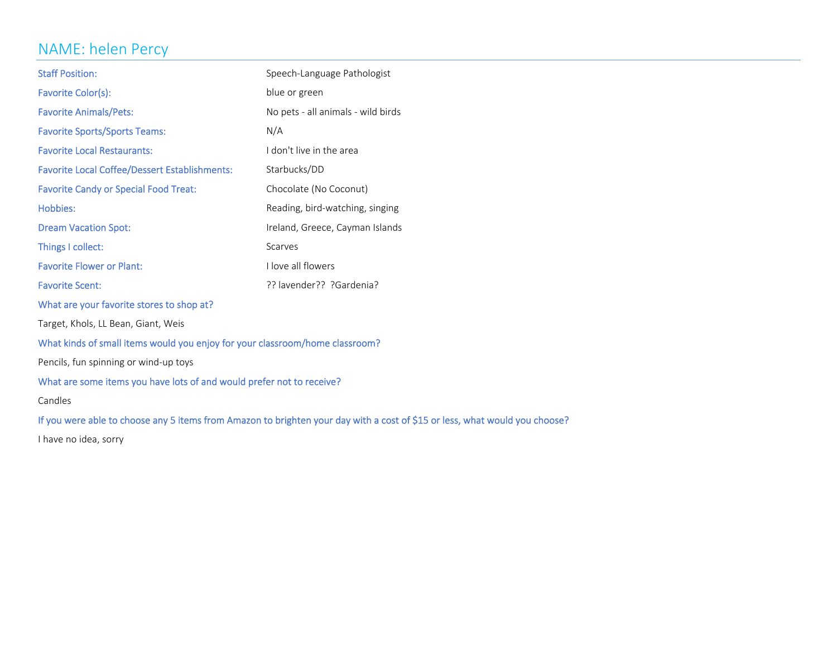### NAME: helen Percy

| <b>Staff Position:</b>                               | Speech-Language Pathologist        |
|------------------------------------------------------|------------------------------------|
| Favorite Color(s):                                   | blue or green                      |
| <b>Favorite Animals/Pets:</b>                        | No pets - all animals - wild birds |
| <b>Favorite Sports/Sports Teams:</b>                 | N/A                                |
| <b>Favorite Local Restaurants:</b>                   | I don't live in the area           |
| <b>Favorite Local Coffee/Dessert Establishments:</b> | Starbucks/DD                       |
| <b>Favorite Candy or Special Food Treat:</b>         | Chocolate (No Coconut)             |
| Hobbies:                                             | Reading, bird-watching, singing    |
| <b>Dream Vacation Spot:</b>                          | Ireland, Greece, Cayman Islands    |
| Things I collect:                                    | Scarves                            |
| <b>Favorite Flower or Plant:</b>                     | I love all flowers                 |
| <b>Favorite Scent:</b>                               | ?? lavender?? ?Gardenia?           |
| What are your favorite stores to shop at?            |                                    |
| Target, Khols, LL Bean, Giant, Weis                  |                                    |

What kinds of small items would you enjoy for your classroom/home classroom?

Pencils, fun spinning or wind‐up toys

What are some items you have lots of and would prefer not to receive?

Candles

If you were able to choose any <sup>5</sup> items from Amazon to brighten your day with <sup>a</sup> cost of \$15 or less, what would you choose?

have no idea, sorry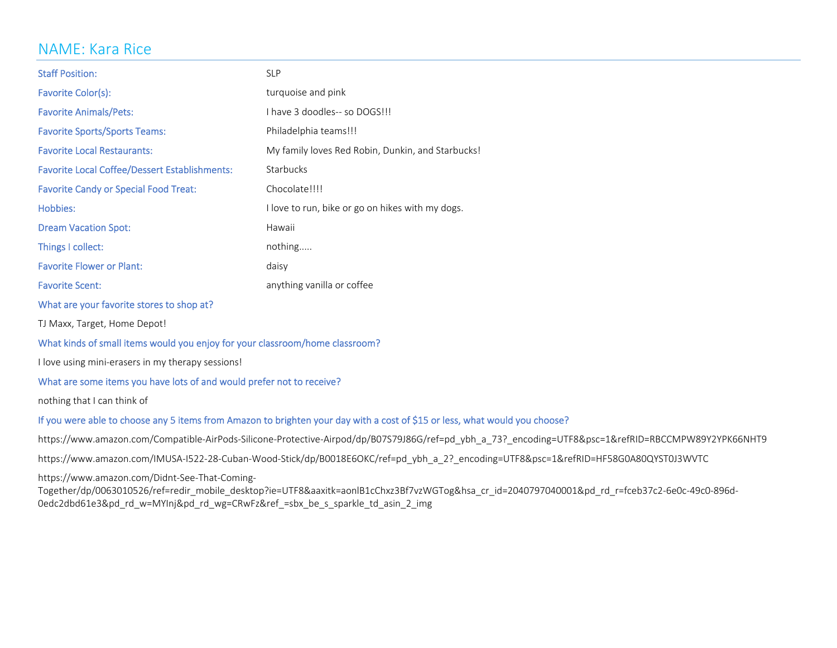### NAME: Kara Rice

| <b>Staff Position:</b>                               | <b>SLP</b>                                        |
|------------------------------------------------------|---------------------------------------------------|
| Favorite Color(s):                                   | turquoise and pink                                |
| <b>Favorite Animals/Pets:</b>                        | I have 3 doodles-- so DOGS!!!                     |
| <b>Favorite Sports/Sports Teams:</b>                 | Philadelphia teams!!!                             |
| <b>Favorite Local Restaurants:</b>                   | My family loves Red Robin, Dunkin, and Starbucks! |
| <b>Favorite Local Coffee/Dessert Establishments:</b> | Starbucks                                         |
| <b>Favorite Candy or Special Food Treat:</b>         | Chocolate!!!!                                     |
| Hobbies:                                             | I love to run, bike or go on hikes with my dogs.  |
| <b>Dream Vacation Spot:</b>                          | Hawaii                                            |
| Things I collect:                                    | nothing                                           |
| <b>Favorite Flower or Plant:</b>                     | daisy                                             |
| <b>Favorite Scent:</b>                               | anything vanilla or coffee                        |
| What are your favorite stores to shop at?            |                                                   |

TJ Maxx, Target, Home Depot!

#### What kinds of small items would you enjoy for your classroom/home classroom?

I love using mini-erasers in my therapy sessions!

#### What are some items you have lots of and would prefer not to receive?

nothing that I can think of

#### If you were able to choose any <sup>5</sup> items from Amazon to brighten your day with <sup>a</sup> cost of \$15 or less, what would you choose?

https://www.amazon.com/Compatible‐AirPods‐Silicone‐Protective‐Airpod/dp/B07S79J86G/ref=pd\_ybh\_a\_73?\_encoding=UTF8&psc=1&refRID=RBCCMPW89Y2YPK66NHT9

https://www.amazon.com/IMUSA‐I522‐28‐Cuban‐Wood‐Stick/dp/B0018E6OKC/ref=pd\_ybh\_a\_2?\_encoding=UTF8&psc=1&refRID=HF58G0A80QYST0J3WVTC

https://www.amazon.com/Didnt‐See‐That‐Coming‐

Together/dp/0063010526/ref=redir\_mobile\_desktop?ie=UTF8&aaxitk=aonlB1cChxz3Bf7vzWGTog&hsa\_cr\_id=2040797040001&pd\_rd\_r=fceb37c2-6e0c-49c0-896d-0edc2dbd61e3&pd\_rd\_w=MYInj&pd\_rd\_wg=CRwFz&ref\_=sbx\_be\_s\_sparkle\_td\_asin\_2\_img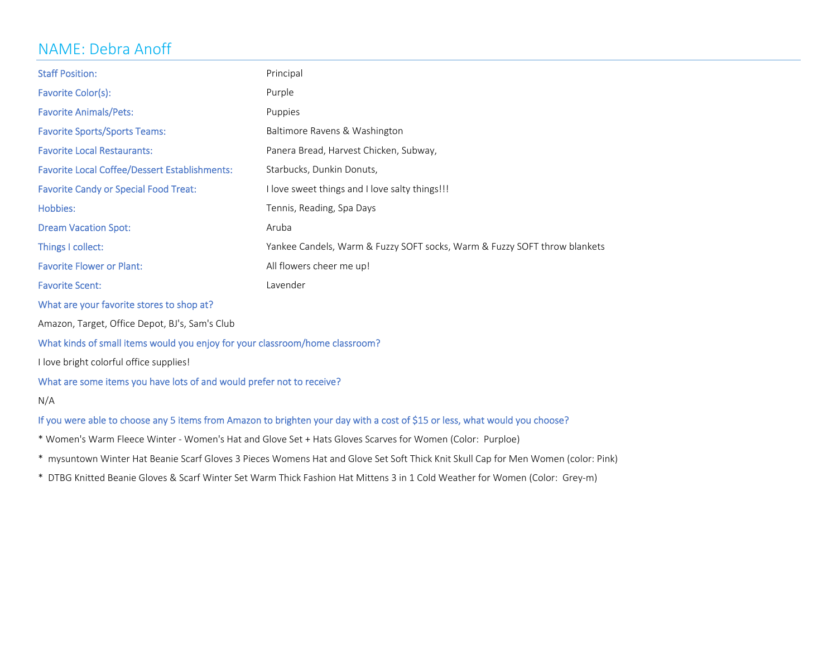### NAME: Debra Anoff

| <b>Staff Position:</b>                                                       | Principal                                                                 |  |
|------------------------------------------------------------------------------|---------------------------------------------------------------------------|--|
| Favorite Color(s):                                                           | Purple                                                                    |  |
| <b>Favorite Animals/Pets:</b>                                                | Puppies                                                                   |  |
| <b>Favorite Sports/Sports Teams:</b>                                         | Baltimore Ravens & Washington                                             |  |
| <b>Favorite Local Restaurants:</b>                                           | Panera Bread, Harvest Chicken, Subway,                                    |  |
| <b>Favorite Local Coffee/Dessert Establishments:</b>                         | Starbucks, Dunkin Donuts,                                                 |  |
| <b>Favorite Candy or Special Food Treat:</b>                                 | I love sweet things and I love salty things!!!                            |  |
| Hobbies:                                                                     | Tennis, Reading, Spa Days                                                 |  |
| <b>Dream Vacation Spot:</b>                                                  | Aruba                                                                     |  |
| Things I collect:                                                            | Yankee Candels, Warm & Fuzzy SOFT socks, Warm & Fuzzy SOFT throw blankets |  |
| <b>Favorite Flower or Plant:</b>                                             | All flowers cheer me up!                                                  |  |
| <b>Favorite Scent:</b>                                                       | Lavender                                                                  |  |
| What are your favorite stores to shop at?                                    |                                                                           |  |
| Amazon, Target, Office Depot, BJ's, Sam's Club                               |                                                                           |  |
| What kinds of small items would you enjoy for your classroom/home classroom? |                                                                           |  |
| I love bright colorful office supplies!                                      |                                                                           |  |
| What are some items you have lots of and would prefer not to receive?        |                                                                           |  |
| N/A                                                                          |                                                                           |  |

### If you were able to choose any <sup>5</sup> items from Amazon to brighten your day with <sup>a</sup> cost of \$15 or less, what would you choose?

- \* Women's Warm Fleece Winter ‐ Women's Hat and Glove Set <sup>+</sup> Hats Gloves Scarves for Women (Color: Purploe)
- \* mysuntown Winter Hat Beanie Scarf Gloves 3 Pieces Womens Hat and Glove Set Soft Thick Knit Skull Cap for Men Women (color: Pink)
- \* DTBG Knitted Beanie Gloves & Scarf Winter Set Warm Thick Fashion Hat Mittens 3 in 1 Cold Weather for Women (Color: Grey‐m)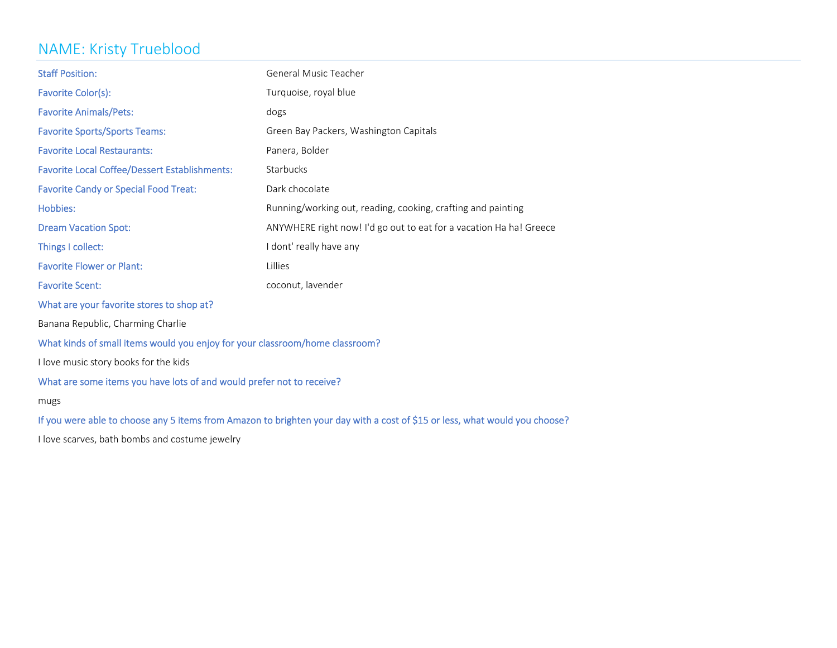# NAME: Kristy Trueblood

| <b>Staff Position:</b>                                                       | <b>General Music Teacher</b>                                       |  |
|------------------------------------------------------------------------------|--------------------------------------------------------------------|--|
| Favorite Color(s):                                                           | Turquoise, royal blue                                              |  |
| <b>Favorite Animals/Pets:</b>                                                | dogs                                                               |  |
| <b>Favorite Sports/Sports Teams:</b>                                         | Green Bay Packers, Washington Capitals                             |  |
| <b>Favorite Local Restaurants:</b>                                           | Panera, Bolder                                                     |  |
| <b>Favorite Local Coffee/Dessert Establishments:</b>                         | Starbucks                                                          |  |
| <b>Favorite Candy or Special Food Treat:</b>                                 | Dark chocolate                                                     |  |
| Hobbies:                                                                     | Running/working out, reading, cooking, crafting and painting       |  |
| <b>Dream Vacation Spot:</b>                                                  | ANYWHERE right now! I'd go out to eat for a vacation Ha ha! Greece |  |
| Things I collect:                                                            | I dont' really have any                                            |  |
| <b>Favorite Flower or Plant:</b>                                             | Lillies                                                            |  |
| <b>Favorite Scent:</b>                                                       | coconut, lavender                                                  |  |
| What are your favorite stores to shop at?                                    |                                                                    |  |
| Banana Republic, Charming Charlie                                            |                                                                    |  |
| What kinds of small items would you enjoy for your classroom/home classroom? |                                                                    |  |
| I love music story books for the kids                                        |                                                                    |  |
| What are some items you have lots of and would prefer not to receive?        |                                                                    |  |
| mugs                                                                         |                                                                    |  |

If you were able to choose any <sup>5</sup> items from Amazon to brighten your day with <sup>a</sup> cost of \$15 or less, what would you choose?

I love scarves, bath bombs and costume jewelry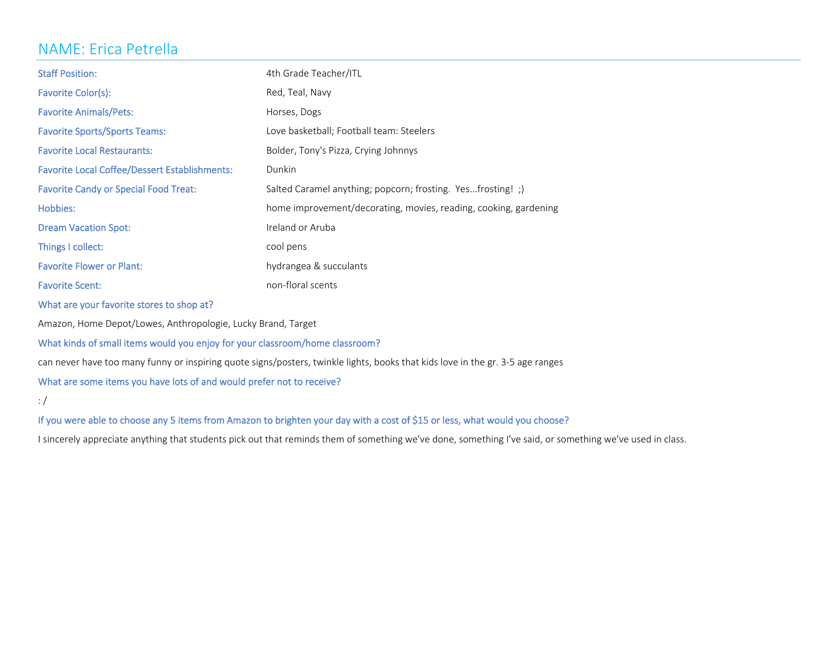# NAME: Erica Petrella

| <b>Staff Position:</b>                               | 4th Grade Teacher/ITL                                            |
|------------------------------------------------------|------------------------------------------------------------------|
| Favorite Color(s):                                   | Red, Teal, Navy                                                  |
| <b>Favorite Animals/Pets:</b>                        | Horses, Dogs                                                     |
| <b>Favorite Sports/Sports Teams:</b>                 | Love basketball; Football team: Steelers                         |
| <b>Favorite Local Restaurants:</b>                   | Bolder, Tony's Pizza, Crying Johnnys                             |
| <b>Favorite Local Coffee/Dessert Establishments:</b> | Dunkin                                                           |
| <b>Favorite Candy or Special Food Treat:</b>         | Salted Caramel anything; popcorn; frosting. Yesfrosting!;)       |
| Hobbies:                                             | home improvement/decorating, movies, reading, cooking, gardening |
| <b>Dream Vacation Spot:</b>                          | Ireland or Aruba                                                 |
| Things I collect:                                    | cool pens                                                        |
| <b>Favorite Flower or Plant:</b>                     | hydrangea & succulants                                           |
| <b>Favorite Scent:</b>                               | non-floral scents                                                |

What are your favorite stores to shop at?

Amazon, Home Depot/Lowes, Anthropologie, Lucky Brand, Target

#### What kinds of small items would you enjoy for your classroom/home classroom?

can never have too many funny or inspiring quote signs/posters, twinkle lights, books that kids love in the gr. 3‐5 age ranges

### What are some items you have lots of and would prefer not to receive?

: /

#### If you were able to choose any <sup>5</sup> items from Amazon to brighten your day with <sup>a</sup> cost of \$15 or less, what would you choose?

sincerely appreciate anything that students pick out that reminds them of something we've done, something I've said, or something we've used in class.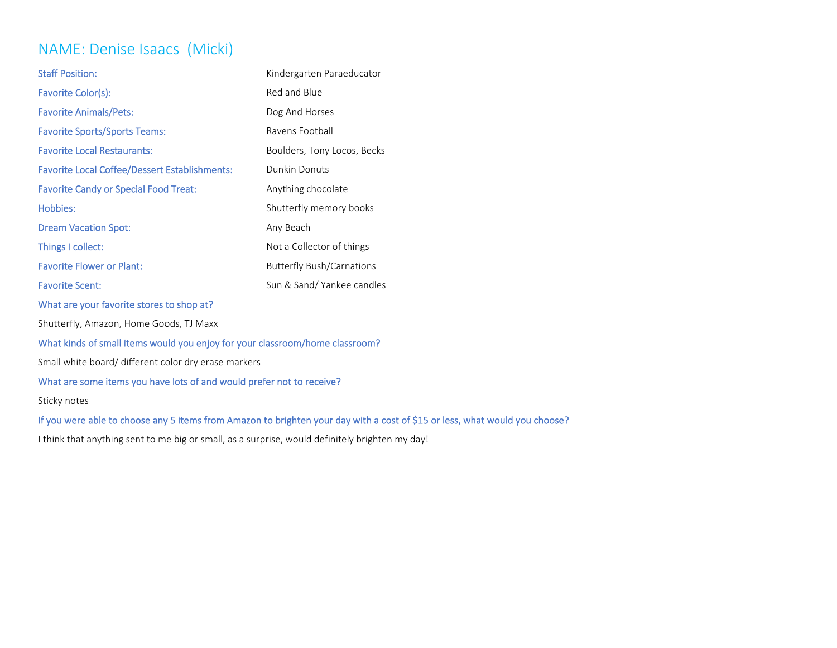## NAME: Denise Isaacs (Micki)

| <b>Staff Position:</b>                                                       | Kindergarten Paraeducator        |  |
|------------------------------------------------------------------------------|----------------------------------|--|
| Favorite Color(s):                                                           | Red and Blue                     |  |
| <b>Favorite Animals/Pets:</b>                                                | Dog And Horses                   |  |
| <b>Favorite Sports/Sports Teams:</b>                                         | Ravens Football                  |  |
| <b>Favorite Local Restaurants:</b>                                           | Boulders, Tony Locos, Becks      |  |
| <b>Favorite Local Coffee/Dessert Establishments:</b>                         | <b>Dunkin Donuts</b>             |  |
| <b>Favorite Candy or Special Food Treat:</b>                                 | Anything chocolate               |  |
| Hobbies:                                                                     | Shutterfly memory books          |  |
| <b>Dream Vacation Spot:</b>                                                  | Any Beach                        |  |
| Things I collect:                                                            | Not a Collector of things        |  |
| <b>Favorite Flower or Plant:</b>                                             | <b>Butterfly Bush/Carnations</b> |  |
| <b>Favorite Scent:</b>                                                       | Sun & Sand/Yankee candles        |  |
| What are your favorite stores to shop at?                                    |                                  |  |
| Shutterfly, Amazon, Home Goods, TJ Maxx                                      |                                  |  |
| What kinds of small items would you enjoy for your classroom/home classroom? |                                  |  |
| Small white board/ different color dry erase markers                         |                                  |  |
| What are some items you have lots of and would prefer not to receive?        |                                  |  |
| Sticky notes                                                                 |                                  |  |

If you were able to choose any <sup>5</sup> items from Amazon to brighten your day with <sup>a</sup> cost of \$15 or less, what would you choose?

I think that anything sent to me big or small, as a surprise, would definitely brighten my day!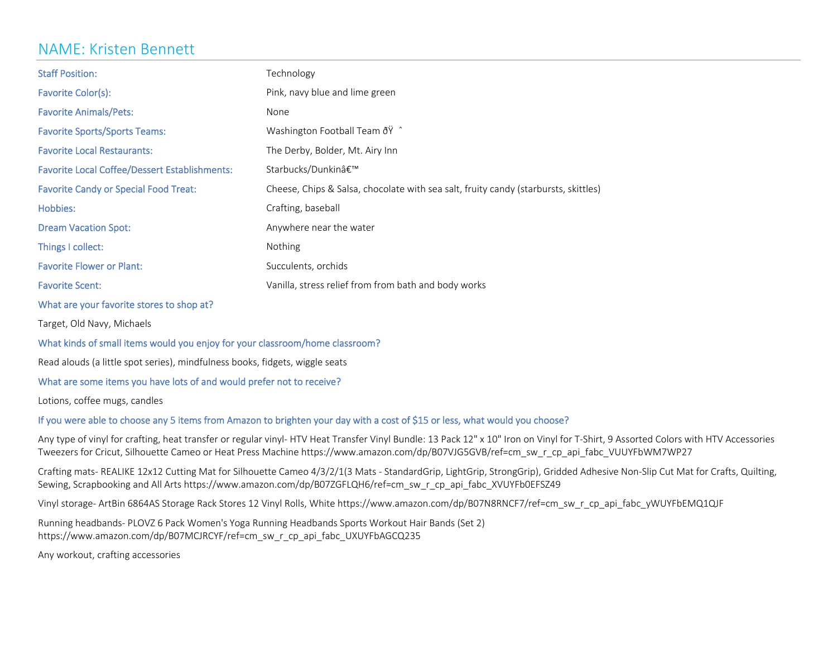### NAME: Kristen Bennett

| <b>Staff Position:</b>                               | Technology                                                                          |
|------------------------------------------------------|-------------------------------------------------------------------------------------|
| Favorite Color(s):                                   | Pink, navy blue and lime green                                                      |
| <b>Favorite Animals/Pets:</b>                        | None                                                                                |
| <b>Favorite Sports/Sports Teams:</b>                 | Washington Football Team ðŸ ^                                                       |
| <b>Favorite Local Restaurants:</b>                   | The Derby, Bolder, Mt. Airy Inn                                                     |
| <b>Favorite Local Coffee/Dessert Establishments:</b> | Starbucks/Dunkin'                                                                   |
| <b>Favorite Candy or Special Food Treat:</b>         | Cheese, Chips & Salsa, chocolate with sea salt, fruity candy (starbursts, skittles) |
| Hobbies:                                             | Crafting, baseball                                                                  |
| <b>Dream Vacation Spot:</b>                          | Anywhere near the water                                                             |
| Things I collect:                                    | <b>Nothing</b>                                                                      |
| <b>Favorite Flower or Plant:</b>                     | Succulents, orchids                                                                 |
| <b>Favorite Scent:</b>                               | Vanilla, stress relief from from bath and body works                                |

What are your favorite stores to shop at?

Target, Old Navy, Michaels

#### What kinds of small items would you enjoy for your classroom/home classroom?

Read alouds (a little spot series), mindfulness books, fidgets, wiggle seats

#### What are some items you have lots of and would prefer not to receive?

Lotions, coffee mugs, candles

#### If you were able to choose any <sup>5</sup> items from Amazon to brighten your day with <sup>a</sup> cost of \$15 or less, what would you choose?

Any type of vinyl for crafting, heat transfer or regular vinyl-HTV Heat Transfer Vinyl Bundle: 13 Pack 12" x 10" Iron on Vinyl for T-Shirt, 9 Assorted Colors with HTV Accessories Tweezers for Cricut, Silhouette Cameo or Heat Press Machine https://www.amazon.com/dp/B07VJG5GVB/ref=cm\_sw\_r\_cp\_api\_fabc\_VUUYFbWM7WP27

Crafting mats‐ REALIKE 12x12 Cutting Mat for Silhouette Cameo 4/3/2/1(3 Mats ‐ StandardGrip, LightGrip, StrongGrip), Gridded Adhesive Non‐Slip Cut Mat for Crafts, Quilting, Sewing, Scrapbooking and All Arts https://www.amazon.com/dp/B07ZGFLQH6/ref=cm\_sw\_r\_cp\_api\_fabc\_XVUYFb0EFSZ49

Vinyl storage-ArtBin 6864AS Storage Rack Stores 12 Vinyl Rolls, White https://www.amazon.com/dp/B07N8RNCF7/ref=cm\_sw\_r\_cp\_api\_fabc\_yWUYFbEMQ1QJF

Running headbands‐ PLOVZ 6 Pack Women's Yoga Running Headbands Sports Workout Hair Bands (Set 2) https://www.amazon.com/dp/B07MCJRCYF/ref=cm\_sw\_r\_cp\_api\_fabc\_UXUYFbAGCQ235

Any workout, crafting accessories